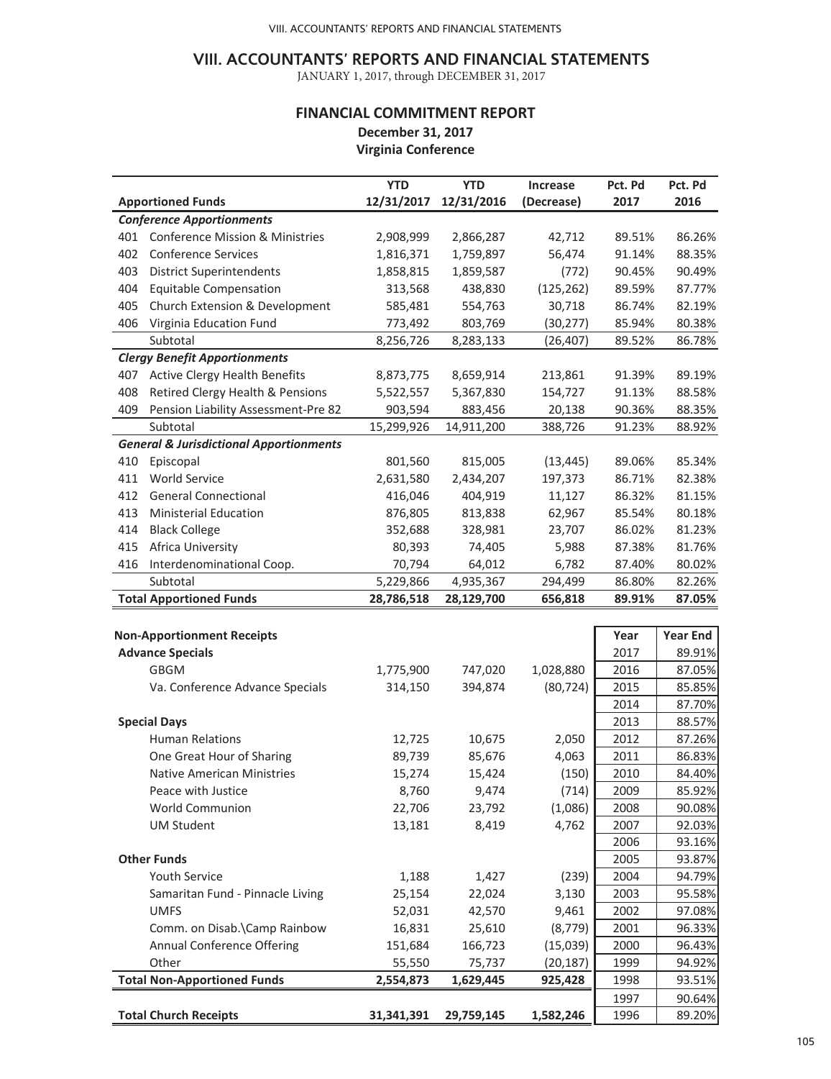#### VIII. ACCOUNTANTS' REPORTS AND FINANCIAL STATEMENTS

#### **VIII. ACCOUNTANTS' REPORTS AND FINANCIAL STATEMENTS**

JANUARY 1, 2017, through DECEMBER 31, 2017

## **FINANCIAL COMMITMENT REPORT**

# **December 31, 2017**

**Virginia Conference**

|     |                                                    | <b>YTD</b> | <b>YTD</b> | <b>Increase</b> | Pct. Pd | Pct. Pd         |
|-----|----------------------------------------------------|------------|------------|-----------------|---------|-----------------|
|     | <b>Apportioned Funds</b>                           | 12/31/2017 | 12/31/2016 | (Decrease)      | 2017    | 2016            |
|     | <b>Conference Apportionments</b>                   |            |            |                 |         |                 |
| 401 | <b>Conference Mission &amp; Ministries</b>         | 2,908,999  | 2,866,287  | 42,712          | 89.51%  | 86.26%          |
| 402 | <b>Conference Services</b>                         | 1,816,371  | 1,759,897  | 56,474          | 91.14%  | 88.35%          |
| 403 | <b>District Superintendents</b>                    | 1,858,815  | 1,859,587  | (772)           | 90.45%  | 90.49%          |
| 404 | <b>Equitable Compensation</b>                      | 313,568    | 438,830    | (125, 262)      | 89.59%  | 87.77%          |
| 405 | Church Extension & Development                     | 585,481    | 554,763    | 30,718          | 86.74%  | 82.19%          |
| 406 | Virginia Education Fund                            | 773,492    | 803,769    | (30, 277)       | 85.94%  | 80.38%          |
|     | Subtotal                                           | 8,256,726  | 8,283,133  | (26, 407)       | 89.52%  | 86.78%          |
|     | <b>Clergy Benefit Apportionments</b>               |            |            |                 |         |                 |
| 407 | <b>Active Clergy Health Benefits</b>               | 8,873,775  | 8,659,914  | 213,861         | 91.39%  | 89.19%          |
| 408 | Retired Clergy Health & Pensions                   | 5,522,557  | 5,367,830  | 154,727         | 91.13%  | 88.58%          |
| 409 | Pension Liability Assessment-Pre 82                | 903,594    | 883,456    | 20,138          | 90.36%  | 88.35%          |
|     | Subtotal                                           | 15,299,926 | 14,911,200 | 388,726         | 91.23%  | 88.92%          |
|     | <b>General &amp; Jurisdictional Apportionments</b> |            |            |                 |         |                 |
| 410 | Episcopal                                          | 801,560    | 815,005    | (13, 445)       | 89.06%  | 85.34%          |
| 411 | <b>World Service</b>                               | 2,631,580  | 2,434,207  | 197,373         | 86.71%  | 82.38%          |
| 412 | <b>General Connectional</b>                        | 416,046    | 404,919    | 11,127          | 86.32%  | 81.15%          |
| 413 | <b>Ministerial Education</b>                       | 876,805    | 813,838    | 62,967          | 85.54%  | 80.18%          |
| 414 | <b>Black College</b>                               | 352,688    | 328,981    | 23,707          | 86.02%  | 81.23%          |
| 415 | Africa University                                  | 80,393     | 74,405     | 5,988           | 87.38%  | 81.76%          |
| 416 | Interdenominational Coop.                          | 70,794     | 64,012     | 6,782           | 87.40%  | 80.02%          |
|     | Subtotal                                           | 5,229,866  | 4,935,367  | 294,499         | 86.80%  | 82.26%          |
|     | <b>Total Apportioned Funds</b>                     | 28,786,518 | 28,129,700 | 656,818         | 89.91%  | 87.05%          |
|     |                                                    |            |            |                 |         |                 |
|     | <b>Non-Apportionment Receipts</b>                  |            |            |                 | Year    | <b>Year End</b> |
|     | <b>Advance Specials</b>                            |            |            |                 | 2017    | 89.91%          |
|     | <b>GBGM</b>                                        | 1,775,900  | 747,020    | 1,028,880       | 2016    | 87.05%          |
|     | Va. Conference Advance Specials                    | 314,150    | 394,874    | (80, 724)       | 2015    | 85.85%          |
|     |                                                    |            |            |                 | 2014    | 87.70%          |
|     | <b>Special Days</b>                                |            |            |                 | 2013    | 88.57%          |
|     | <b>Human Relations</b>                             | 12,725     | 10,675     | 2,050           | 2012    | 87.26%          |
|     | One Great Hour of Sharing                          | 89,739     | 85,676     | 4,063           | 2011    | 86.83%          |
|     | Native American Ministries                         | 15,274     | 15,424     | (150)           | 2010    | 84.40%          |
|     | Peace with Justice                                 | 8.760      | 9,474      | (714)           | 2009    | 85.92%          |
|     | World Communion                                    | 22,706     | 23,792     | (1,086)         | 2008    | 90.08%          |
|     | <b>UM Student</b>                                  | 13,181     | 8,419      | 4,762           | 2007    | 92.03%          |
|     |                                                    |            |            |                 | 2006    | 93.16%          |
|     | <b>Other Funds</b>                                 |            |            |                 | 2005    | 93.87%          |
|     | Youth Service                                      | 1,188      | 1,427      | (239)           | 2004    | 94.79%          |
|     | Samaritan Fund - Pinnacle Living                   | 25,154     | 22,024     | 3,130           | 2003    | 95.58%          |
|     | <b>UMFS</b>                                        | 52,031     | 42,570     | 9,461           | 2002    | 97.08%          |
|     | Comm. on Disab.\Camp Rainbow                       | 16,831     | 25,610     | (8, 779)        | 2001    | 96.33%          |
|     | <b>Annual Conference Offering</b>                  | 151,684    | 166,723    | (15,039)        | 2000    | 96.43%          |
|     | Other                                              | 55,550     | 75,737     | (20, 187)       | 1999    | 94.92%          |
|     | <b>Total Non-Apportioned Funds</b>                 | 2,554,873  | 1,629,445  | 925,428         | 1998    | 93.51%          |
|     |                                                    |            |            |                 | 1997    | 90.64%          |
|     | <b>Total Church Receipts</b>                       | 31,341,391 | 29,759,145 | 1,582,246       | 1996    | 89.20%          |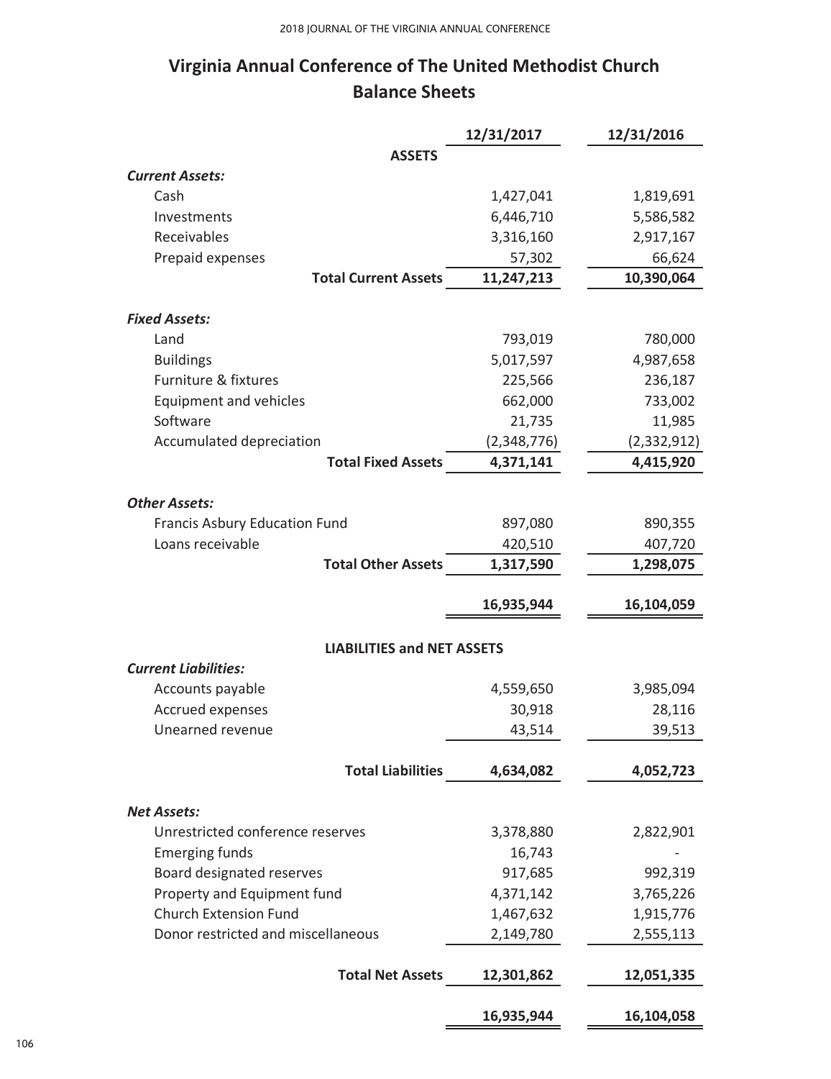# **Virginia Annual Conference of The United Methodist Church Balance Sheets**

|                                    | 12/31/2017  | 12/31/2016  |
|------------------------------------|-------------|-------------|
| <b>ASSETS</b>                      |             |             |
| <b>Current Assets:</b>             |             |             |
| Cash                               | 1,427,041   | 1,819,691   |
| Investments                        | 6,446,710   | 5,586,582   |
| Receivables                        | 3,316,160   | 2,917,167   |
| Prepaid expenses                   | 57,302      | 66,624      |
| <b>Total Current Assets</b>        | 11,247,213  | 10,390,064  |
| <b>Fixed Assets:</b>               |             |             |
| Land                               | 793,019     | 780,000     |
| <b>Buildings</b>                   | 5,017,597   | 4,987,658   |
| Furniture & fixtures               | 225,566     | 236,187     |
| Equipment and vehicles             | 662,000     | 733,002     |
| Software                           | 21,735      | 11,985      |
| Accumulated depreciation           | (2,348,776) | (2,332,912) |
| <b>Total Fixed Assets</b>          | 4,371,141   | 4,415,920   |
|                                    |             |             |
| <b>Other Assets:</b>               |             |             |
| Francis Asbury Education Fund      | 897,080     | 890,355     |
| Loans receivable                   | 420,510     | 407,720     |
| <b>Total Other Assets</b>          | 1,317,590   | 1,298,075   |
|                                    | 16,935,944  | 16,104,059  |
| <b>LIABILITIES and NET ASSETS</b>  |             |             |
| <b>Current Liabilities:</b>        |             |             |
| Accounts payable                   | 4,559,650   | 3,985,094   |
| Accrued expenses                   | 30,918      | 28,116      |
| Unearned revenue                   | 43,514      | 39,513      |
|                                    |             |             |
| <b>Total Liabilities</b>           | 4,634,082   | 4,052,723   |
| <b>Net Assets:</b>                 |             |             |
| Unrestricted conference reserves   | 3,378,880   | 2,822,901   |
| <b>Emerging funds</b>              | 16,743      |             |
| Board designated reserves          | 917,685     | 992,319     |
| Property and Equipment fund        | 4,371,142   | 3,765,226   |
| <b>Church Extension Fund</b>       | 1,467,632   | 1,915,776   |
| Donor restricted and miscellaneous | 2,149,780   | 2,555,113   |
|                                    |             |             |
| <b>Total Net Assets</b>            | 12,301,862  | 12,051,335  |
|                                    | 16,935,944  | 16,104,058  |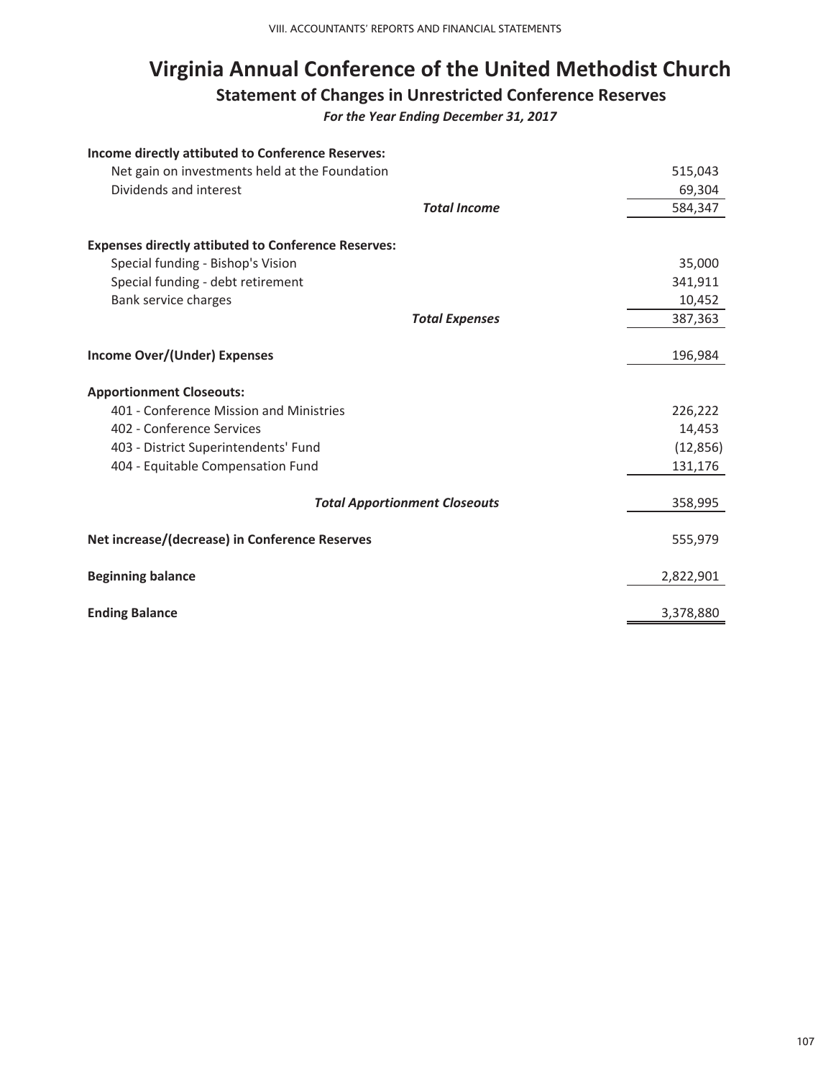# **Virginia Annual Conference of the United Methodist Church**

# **Statement of Changes in Unrestricted Conference Reserves**

*For the Year Ending December 31, 2017*

| Income directly attibuted to Conference Reserves:          |                                      |           |
|------------------------------------------------------------|--------------------------------------|-----------|
| Net gain on investments held at the Foundation             |                                      | 515,043   |
| Dividends and interest                                     |                                      | 69,304    |
|                                                            | <b>Total Income</b>                  | 584,347   |
| <b>Expenses directly attibuted to Conference Reserves:</b> |                                      |           |
| Special funding - Bishop's Vision                          |                                      | 35,000    |
| Special funding - debt retirement                          |                                      | 341,911   |
| Bank service charges                                       |                                      | 10,452    |
|                                                            | <b>Total Expenses</b>                | 387,363   |
|                                                            |                                      |           |
| <b>Income Over/(Under) Expenses</b>                        |                                      | 196,984   |
| <b>Apportionment Closeouts:</b>                            |                                      |           |
| 401 - Conference Mission and Ministries                    |                                      | 226,222   |
| 402 - Conference Services                                  |                                      | 14,453    |
| 403 - District Superintendents' Fund                       |                                      | (12, 856) |
| 404 - Equitable Compensation Fund                          |                                      | 131,176   |
|                                                            |                                      |           |
|                                                            | <b>Total Apportionment Closeouts</b> | 358,995   |
| Net increase/(decrease) in Conference Reserves             |                                      | 555,979   |
| <b>Beginning balance</b>                                   |                                      | 2,822,901 |
|                                                            |                                      |           |
| <b>Ending Balance</b>                                      |                                      | 3,378,880 |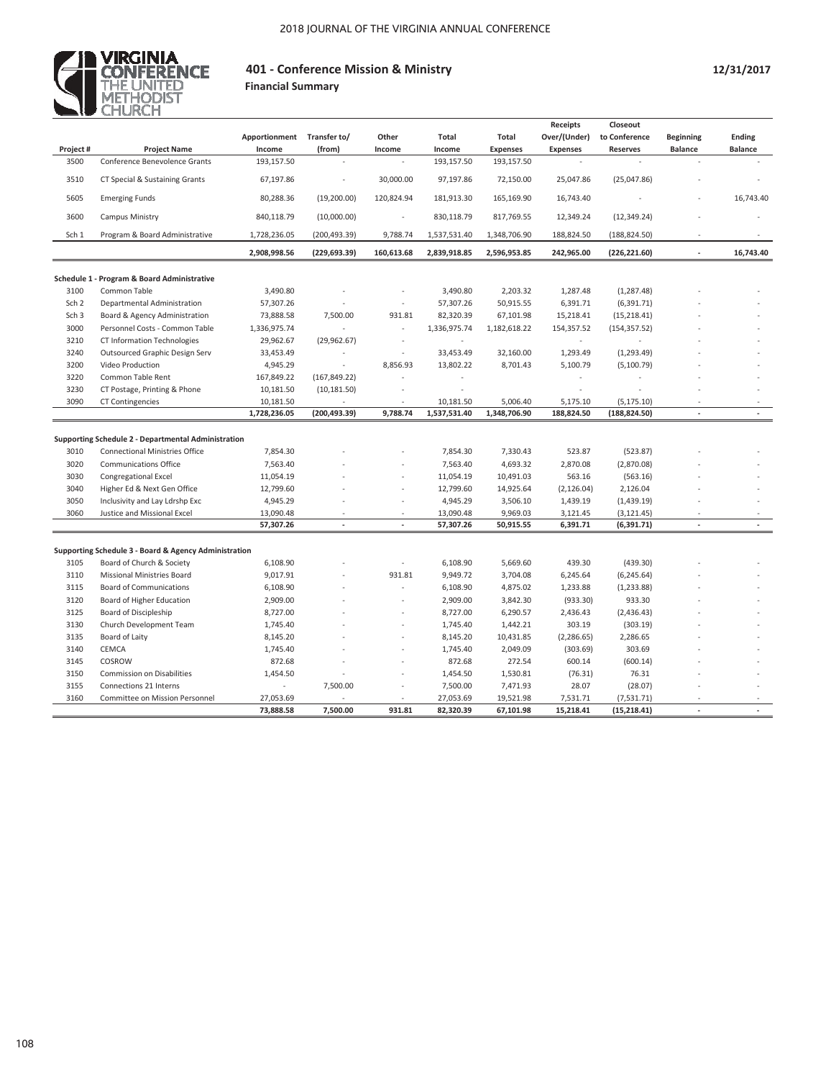

#### **401 - Conference Mission & Ministry Financial Summary**

|                  |                                                             |               |               |                          |              |                 | Receipts        | Closeout        |                  |                |
|------------------|-------------------------------------------------------------|---------------|---------------|--------------------------|--------------|-----------------|-----------------|-----------------|------------------|----------------|
|                  |                                                             | Apportionment | Transfer to/  | Other                    | Total        | Total           | Over/(Under)    | to Conference   | <b>Beginning</b> | <b>Ending</b>  |
| Project#         | <b>Project Name</b>                                         | Income        | (from)        | Income                   | Income       | <b>Expenses</b> | <b>Expenses</b> | <b>Reserves</b> | <b>Balance</b>   | <b>Balance</b> |
| 3500             | Conference Benevolence Grants                               | 193,157.50    | ×,            |                          | 193,157.50   | 193,157.50      | $\omega$        | $\mathcal{L}$   | ×.               |                |
| 3510             | CT Special & Sustaining Grants                              | 67,197.86     |               | 30,000.00                | 97,197.86    | 72,150.00       | 25,047.86       | (25,047.86)     |                  |                |
| 5605             | <b>Emerging Funds</b>                                       | 80,288.36     | (19,200.00)   | 120,824.94               | 181,913.30   | 165,169.90      | 16,743.40       |                 |                  | 16,743.40      |
| 3600             | Campus Ministry                                             | 840,118.79    | (10,000.00)   |                          | 830,118.79   | 817,769.55      | 12,349.24       | (12, 349.24)    |                  |                |
| Sch 1            | Program & Board Administrative                              | 1,728,236.05  | (200, 493.39) | 9,788.74                 | 1,537,531.40 | 1,348,706.90    | 188,824.50      | (188, 824.50)   |                  |                |
|                  |                                                             | 2,908,998.56  | (229, 693.39) | 160,613.68               | 2,839,918.85 | 2,596,953.85    | 242,965.00      | (226, 221.60)   |                  | 16,743.40      |
|                  |                                                             |               |               |                          |              |                 |                 |                 |                  |                |
| 3100             | Schedule 1 - Program & Board Administrative<br>Common Table |               |               |                          |              | 2,203.32        | 1,287.48        |                 |                  |                |
|                  |                                                             | 3,490.80      |               |                          | 3,490.80     |                 |                 | (1, 287.48)     |                  |                |
| Sch <sub>2</sub> | Departmental Administration                                 | 57,307.26     |               |                          | 57,307.26    | 50,915.55       | 6,391.71        | (6, 391.71)     |                  |                |
| Sch <sub>3</sub> | Board & Agency Administration                               | 73,888.58     | 7,500.00      | 931.81                   | 82,320.39    | 67,101.98       | 15,218.41       | (15, 218.41)    |                  |                |
| 3000             | Personnel Costs - Common Table                              | 1,336,975.74  |               |                          | 1,336,975.74 | 1,182,618.22    | 154,357.52      | (154, 357.52)   |                  |                |
| 3210             | CT Information Technologies                                 | 29,962.67     | (29,962.67)   |                          |              |                 |                 |                 |                  |                |
| 3240             | Outsourced Graphic Design Serv                              | 33,453.49     |               | $\overline{\phantom{a}}$ | 33,453.49    | 32,160.00       | 1,293.49        | (1, 293.49)     |                  |                |
| 3200             | Video Production                                            | 4,945.29      | ÷             | 8,856.93                 | 13,802.22    | 8,701.43        | 5,100.79        | (5, 100.79)     |                  |                |
| 3220             | Common Table Rent                                           | 167,849.22    | (167, 849.22) | ä,                       |              |                 | $\sim$          |                 |                  |                |
| 3230             | CT Postage, Printing & Phone                                | 10,181.50     | (10, 181.50)  |                          |              |                 |                 |                 |                  |                |
| 3090             | <b>CT Contingencies</b>                                     | 10,181.50     |               |                          | 10,181.50    | 5,006.40        | 5,175.10        | (5, 175.10)     |                  |                |
|                  |                                                             | 1,728,236.05  | (200, 493.39) | 9,788.74                 | 1,537,531.40 | 1,348,706.90    | 188,824.50      | (188, 824.50)   |                  |                |
|                  |                                                             |               |               |                          |              |                 |                 |                 |                  |                |
|                  | Supporting Schedule 2 - Departmental Administration         |               |               |                          |              |                 |                 |                 |                  |                |
| 3010             | <b>Connectional Ministries Office</b>                       | 7,854.30      |               |                          | 7,854.30     | 7,330.43        | 523.87          | (523.87)        |                  |                |
| 3020             | <b>Communications Office</b>                                | 7,563.40      |               |                          | 7,563.40     | 4,693.32        | 2,870.08        | (2,870.08)      |                  |                |
| 3030             | Congregational Excel                                        | 11,054.19     |               |                          | 11,054.19    | 10,491.03       | 563.16          | (563.16)        |                  |                |
| 3040             | Higher Ed & Next Gen Office                                 | 12,799.60     |               | ä,                       | 12,799.60    | 14,925.64       | (2, 126.04)     | 2,126.04        |                  |                |
| 3050             | Inclusivity and Lay Ldrshp Exc                              | 4,945.29      |               |                          | 4,945.29     | 3,506.10        | 1,439.19        | (1,439.19)      |                  |                |
| 3060             | Justice and Missional Excel                                 | 13,090.48     |               | ä,                       | 13,090.48    | 9,969.03        | 3,121.45        | (3, 121.45)     |                  |                |
|                  |                                                             | 57,307.26     |               | L,                       | 57,307.26    | 50,915.55       | 6,391.71        | (6, 391.71)     | Ĭ.               |                |
|                  |                                                             |               |               |                          |              |                 |                 |                 |                  |                |
|                  |                                                             |               |               |                          |              |                 |                 |                 |                  |                |
|                  | Supporting Schedule 3 - Board & Agency Administration       |               |               |                          |              |                 |                 |                 |                  |                |
| 3105             | Board of Church & Society                                   | 6,108.90      |               |                          | 6,108.90     | 5,669.60        | 439.30          | (439.30)        |                  |                |
| 3110             | Missional Ministries Board                                  | 9,017.91      |               | 931.81                   | 9,949.72     | 3,704.08        | 6,245.64        | (6, 245.64)     |                  |                |
| 3115             | Board of Communications                                     | 6,108.90      |               |                          | 6,108.90     | 4,875.02        | 1,233.88        | (1,233.88)      |                  |                |
| 3120             | Board of Higher Education                                   | 2,909.00      |               |                          | 2,909.00     | 3,842.30        | (933.30)        | 933.30          |                  |                |
| 3125             | Board of Discipleship                                       | 8,727.00      |               |                          | 8,727.00     | 6,290.57        | 2,436.43        | (2,436.43)      |                  |                |
| 3130             | Church Development Team                                     | 1,745.40      |               |                          | 1,745.40     | 1,442.21        | 303.19          | (303.19)        |                  |                |
| 3135             | Board of Laity                                              | 8,145.20      |               |                          | 8,145.20     | 10,431.85       | (2, 286.65)     | 2,286.65        |                  |                |
| 3140             | CEMCA                                                       | 1,745.40      |               |                          | 1,745.40     | 2,049.09        | (303.69)        | 303.69          |                  |                |
| 3145             | COSROW                                                      | 872.68        |               |                          | 872.68       | 272.54          | 600.14          | (600.14)        |                  |                |
| 3150             | <b>Commission on Disabilities</b>                           | 1,454.50      |               |                          | 1,454.50     | 1,530.81        | (76.31)         | 76.31           |                  |                |
| 3155             | Connections 21 Interns                                      |               | 7,500.00      |                          | 7,500.00     | 7,471.93        | 28.07           | (28.07)         |                  |                |
| 3160             | Committee on Mission Personnel                              | 27,053.69     |               |                          | 27,053.69    | 19,521.98       | 7,531.71        | (7, 531.71)     |                  |                |
|                  |                                                             | 73,888.58     | 7,500.00      | 931.81                   | 82,320.39    | 67,101.98       | 15,218.41       | (15, 218.41)    |                  |                |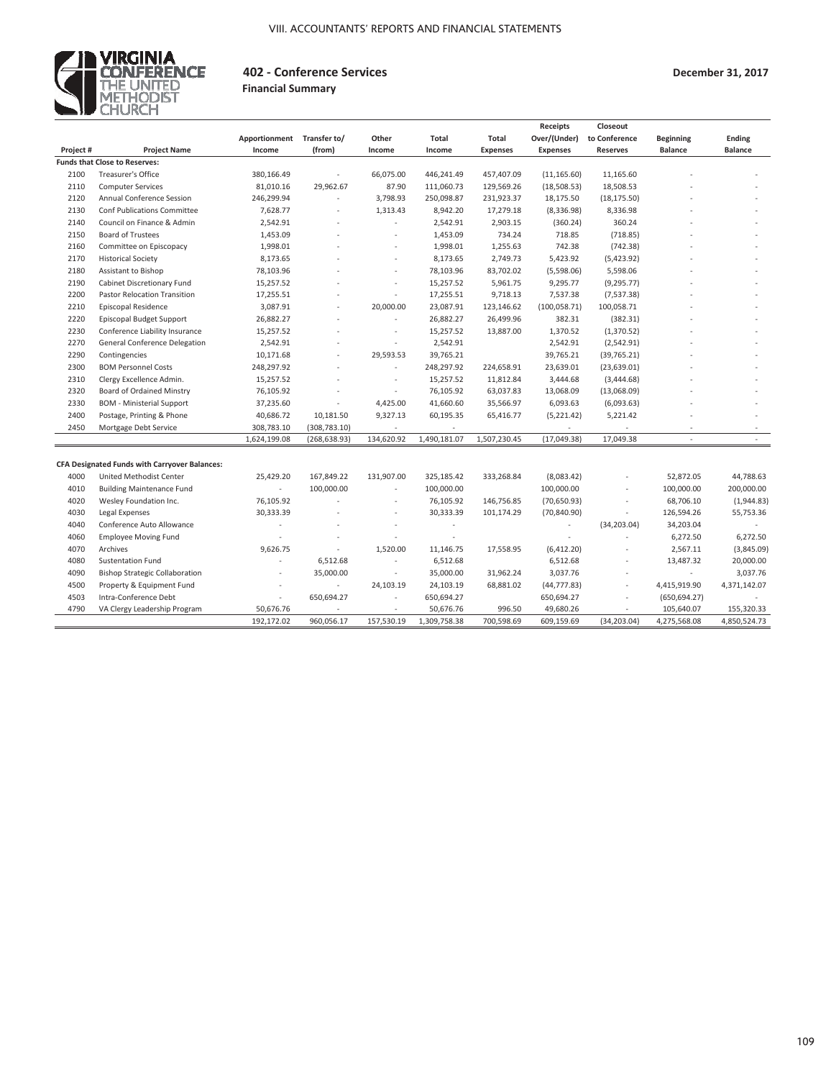

#### **402 - Conference Services**

**Financial Summary**

|          |                                                      |                          |                          |                          |              |                 | <b>Receipts</b> | Closeout        |                  |                |
|----------|------------------------------------------------------|--------------------------|--------------------------|--------------------------|--------------|-----------------|-----------------|-----------------|------------------|----------------|
|          |                                                      | Apportionment            | Transfer to/             | Other                    | Total        | Total           | Over/(Under)    | to Conference   | <b>Beginning</b> | <b>Ending</b>  |
| Project# | <b>Project Name</b>                                  | Income                   | (from)                   | Income                   | Income       | <b>Expenses</b> | <b>Expenses</b> | <b>Reserves</b> | <b>Balance</b>   | <b>Balance</b> |
|          | <b>Funds that Close to Reserves:</b>                 |                          |                          |                          |              |                 |                 |                 |                  |                |
| 2100     | <b>Treasurer's Office</b>                            | 380,166.49               |                          | 66,075.00                | 446,241.49   | 457,407.09      | (11, 165.60)    | 11,165.60       |                  |                |
| 2110     | <b>Computer Services</b>                             | 81,010.16                | 29,962.67                | 87.90                    | 111,060.73   | 129,569.26      | (18,508.53)     | 18,508.53       |                  |                |
| 2120     | Annual Conference Session                            | 246,299.94               | ٠                        | 3,798.93                 | 250,098.87   | 231,923.37      | 18,175.50       | (18, 175.50)    |                  |                |
| 2130     | <b>Conf Publications Committee</b>                   | 7,628.77                 |                          | 1,313.43                 | 8,942.20     | 17,279.18       | (8,336.98)      | 8,336.98        |                  |                |
| 2140     | Council on Finance & Admin                           | 2,542.91                 |                          |                          | 2,542.91     | 2,903.15        | (360.24)        | 360.24          |                  |                |
| 2150     | <b>Board of Trustees</b>                             | 1,453.09                 |                          |                          | 1,453.09     | 734.24          | 718.85          | (718.85)        |                  |                |
| 2160     | Committee on Episcopacy                              | 1,998.01                 |                          |                          | 1,998.01     | 1,255.63        | 742.38          | (742.38)        |                  |                |
| 2170     | <b>Historical Society</b>                            | 8,173.65                 |                          |                          | 8,173.65     | 2,749.73        | 5,423.92        | (5,423.92)      |                  |                |
| 2180     | Assistant to Bishop                                  | 78,103.96                |                          |                          | 78,103.96    | 83,702.02       | (5,598.06)      | 5,598.06        |                  |                |
| 2190     | Cabinet Discretionary Fund                           | 15,257.52                |                          |                          | 15,257.52    | 5,961.75        | 9,295.77        | (9, 295.77)     |                  |                |
| 2200     | Pastor Relocation Transition                         | 17,255.51                |                          |                          | 17,255.51    | 9,718.13        | 7,537.38        | (7,537.38)      |                  |                |
| 2210     | <b>Episcopal Residence</b>                           | 3,087.91                 |                          | 20,000.00                | 23,087.91    | 123,146.62      | (100, 058.71)   | 100,058.71      |                  |                |
| 2220     | Episcopal Budget Support                             | 26,882.27                |                          |                          | 26,882.27    | 26,499.96       | 382.31          | (382.31)        |                  |                |
| 2230     | Conference Liability Insurance                       | 15,257.52                |                          | $\overline{\phantom{a}}$ | 15,257.52    | 13,887.00       | 1,370.52        | (1,370.52)      |                  |                |
| 2270     | General Conference Delegation                        | 2,542.91                 |                          |                          | 2,542.91     |                 | 2,542.91        | (2,542.91)      |                  |                |
| 2290     | Contingencies                                        | 10,171.68                |                          | 29,593.53                | 39,765.21    |                 | 39,765.21       | (39, 765.21)    |                  |                |
| 2300     | <b>BOM Personnel Costs</b>                           | 248,297.92               |                          | ٠                        | 248,297.92   | 224,658.91      | 23,639.01       | (23, 639.01)    |                  |                |
| 2310     | Clergy Excellence Admin.                             | 15,257.52                |                          | ٠                        | 15,257.52    | 11,812.84       | 3,444.68        | (3,444.68)      |                  |                |
| 2320     | <b>Board of Ordained Minstry</b>                     | 76,105.92                |                          | ٠                        | 76,105.92    | 63,037.83       | 13,068.09       | (13,068.09)     |                  |                |
| 2330     | <b>BOM</b> - Ministerial Support                     | 37,235.60                |                          | 4,425.00                 | 41,660.60    | 35,566.97       | 6,093.63        | (6,093.63)      |                  |                |
| 2400     | Postage, Printing & Phone                            | 40,686.72                | 10,181.50                | 9,327.13                 | 60,195.35    | 65,416.77       | (5,221.42)      | 5,221.42        |                  |                |
| 2450     | Mortgage Debt Service                                | 308,783.10               | (308, 783.10)            |                          |              |                 |                 |                 |                  |                |
|          |                                                      | 1,624,199.08             | (268, 638.93)            | 134,620.92               | 1,490,181.07 | 1,507,230.45    | (17, 049.38)    | 17,049.38       | $\sim$           | $\sim$         |
|          | <b>CFA Designated Funds with Carryover Balances:</b> |                          |                          |                          |              |                 |                 |                 |                  |                |
| 4000     | United Methodist Center                              | 25,429.20                | 167,849.22               | 131,907.00               | 325,185.42   | 333,268.84      | (8,083.42)      |                 | 52,872.05        | 44,788.63      |
| 4010     | <b>Building Maintenance Fund</b>                     | $\overline{\phantom{a}}$ | 100,000.00               |                          | 100,000.00   |                 | 100,000.00      |                 | 100,000.00       | 200,000.00     |
| 4020     | Wesley Foundation Inc.                               | 76,105.92                | ÷.                       | ٠                        | 76,105.92    | 146,756.85      | (70, 650.93)    |                 | 68,706.10        | (1,944.83)     |
| 4030     | Legal Expenses                                       | 30,333.39                |                          |                          | 30,333.39    | 101,174.29      | (70, 840.90)    |                 | 126,594.26       | 55,753.36      |
| 4040     | Conference Auto Allowance                            | ä,                       |                          |                          | $\sim$       |                 |                 | (34, 203.04)    | 34,203.04        |                |
| 4060     | <b>Employee Moving Fund</b>                          |                          |                          |                          |              |                 |                 |                 | 6,272.50         | 6,272.50       |
| 4070     | Archives                                             | 9,626.75                 | ×,                       | 1,520.00                 | 11,146.75    | 17,558.95       | (6,412.20)      |                 | 2,567.11         | (3,845.09)     |
| 4080     | <b>Sustentation Fund</b>                             |                          | 6,512.68                 |                          | 6,512.68     |                 | 6,512.68        |                 | 13,487.32        | 20,000.00      |
| 4090     | <b>Bishop Strategic Collaboration</b>                |                          | 35,000.00                |                          | 35,000.00    | 31,962.24       | 3,037.76        |                 |                  | 3,037.76       |
| 4500     | Property & Equipment Fund                            |                          | $\overline{\phantom{a}}$ | 24,103.19                | 24,103.19    | 68,881.02       | (44, 777.83)    |                 | 4,415,919.90     | 4,371,142.07   |
| 4503     | Intra-Conference Debt                                |                          | 650,694.27               |                          | 650,694.27   |                 | 650,694.27      |                 | (650, 694.27)    |                |
| 4790     | VA Clergy Leadership Program                         | 50,676.76                |                          |                          | 50,676.76    | 996.50          | 49,680.26       |                 | 105,640.07       | 155,320.33     |
|          |                                                      | 192,172.02               | 960.056.17               | 157,530.19               | 1,309,758.38 | 700.598.69      | 609,159.69      | (34, 203.04)    | 4,275,568.08     | 4,850,524.73   |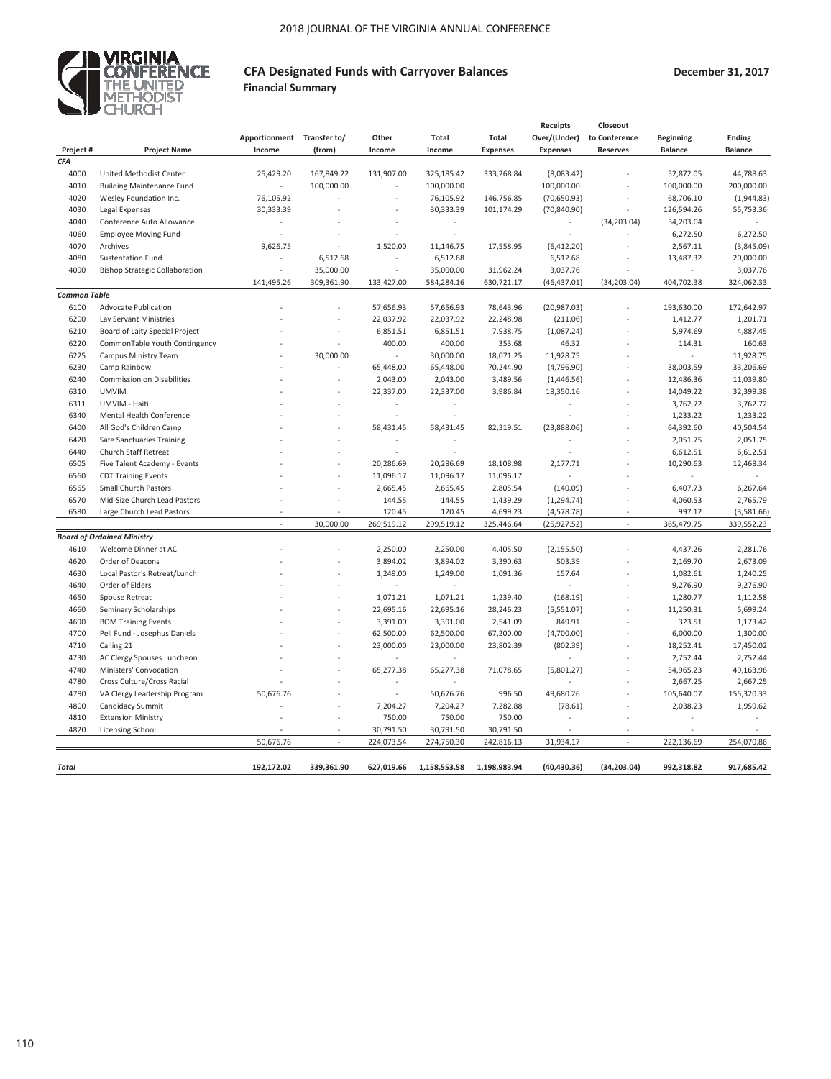

# **CFA Designated Funds with Carryover Balances**

**December 31, 2017**

| Project#            | <b>Project Name</b>                              | Apportionment Transfer to/<br>Income | (from)     | Other<br>Income          | <b>Total</b><br>Income  | Total<br><b>Expenses</b> | Receipts<br>Over/(Under)<br><b>Expenses</b> | Closeout<br>to Conference<br><b>Reserves</b> | <b>Beginning</b><br><b>Balance</b> | <b>Ending</b><br><b>Balance</b> |
|---------------------|--------------------------------------------------|--------------------------------------|------------|--------------------------|-------------------------|--------------------------|---------------------------------------------|----------------------------------------------|------------------------------------|---------------------------------|
| CFA                 |                                                  |                                      |            |                          |                         |                          |                                             |                                              |                                    |                                 |
| 4000                | United Methodist Center                          | 25,429.20                            | 167,849.22 | 131,907.00               | 325,185.42              | 333,268.84               | (8,083.42)                                  |                                              | 52,872.05                          | 44,788.63                       |
| 4010                | <b>Building Maintenance Fund</b>                 | ÷,                                   | 100,000.00 |                          | 100,000.00              |                          | 100,000.00                                  |                                              | 100,000.00                         | 200,000.00                      |
| 4020                | Wesley Foundation Inc.                           | 76,105.92                            |            |                          | 76,105.92               | 146,756.85               | (70,650.93)                                 |                                              | 68,706.10                          | (1,944.83)                      |
| 4030                | Legal Expenses                                   | 30,333.39                            |            |                          | 30,333.39               | 101,174.29               | (70, 840.90)                                |                                              | 126,594.26                         | 55,753.36                       |
| 4040                | Conference Auto Allowance                        |                                      |            |                          | ÷.                      |                          |                                             | (34, 203.04)                                 | 34,203.04                          |                                 |
| 4060                | <b>Employee Moving Fund</b>                      |                                      |            |                          |                         |                          |                                             |                                              | 6,272.50                           | 6,272.50                        |
| 4070                | Archives                                         | 9,626.75                             | ×,         | 1,520.00                 | 11,146.75               | 17,558.95                | (6,412.20)                                  |                                              | 2,567.11                           | (3,845.09)                      |
| 4080                | <b>Sustentation Fund</b>                         |                                      | 6,512.68   | ä,                       | 6,512.68                |                          | 6,512.68                                    |                                              | 13,487.32                          | 20,000.00                       |
| 4090                | <b>Bishop Strategic Collaboration</b>            | ٠                                    | 35,000.00  | ٠                        | 35,000.00               | 31,962.24                | 3,037.76                                    | ÷                                            |                                    | 3,037.76                        |
|                     |                                                  | 141,495.26                           | 309,361.90 | 133,427.00               | 584,284.16              | 630,721.17               | (46, 437.01)                                | (34, 203.04)                                 | 404,702.38                         | 324,062.33                      |
| <b>Common Table</b> |                                                  |                                      |            |                          |                         |                          |                                             |                                              |                                    |                                 |
| 6100                | Advocate Publication                             |                                      |            | 57,656.93                | 57,656.93               | 78,643.96                | (20, 987.03)                                |                                              | 193,630.00                         | 172,642.97                      |
| 6200                | Lay Servant Ministries                           |                                      |            | 22,037.92                | 22,037.92               | 22,248.98                | (211.06)                                    |                                              | 1,412.77                           | 1,201.71                        |
| 6210                | Board of Laity Special Project                   |                                      |            | 6,851.51                 | 6,851.51                | 7,938.75                 | (1,087.24)                                  |                                              | 5,974.69                           | 4,887.45                        |
| 6220                | CommonTable Youth Contingency                    |                                      |            | 400.00                   | 400.00                  | 353.68                   | 46.32                                       |                                              | 114.31                             | 160.63                          |
| 6225                | Campus Ministry Team                             |                                      | 30,000.00  | ÷                        | 30,000.00               | 18,071.25                | 11,928.75                                   |                                              | L.                                 | 11,928.75                       |
| 6230                | Camp Rainbow                                     |                                      |            | 65,448.00                | 65,448.00               | 70,244.90                | (4,796.90)                                  |                                              | 38,003.59                          | 33,206.69                       |
| 6240                | Commission on Disabilities                       |                                      | ٠          | 2,043.00                 | 2,043.00                | 3,489.56                 | (1,446.56)                                  |                                              | 12,486.36                          | 11,039.80                       |
| 6310                | <b>UMVIM</b>                                     |                                      |            | 22,337.00                | 22,337.00               | 3,986.84                 | 18,350.16                                   |                                              | 14,049.22                          | 32,399.38                       |
| 6311                | UMVIM - Haiti                                    |                                      |            | ×,                       |                         |                          |                                             |                                              | 3,762.72                           | 3,762.72                        |
| 6340                | Mental Health Conference                         |                                      |            |                          |                         |                          |                                             |                                              | 1,233.22                           | 1,233.22                        |
| 6400                | All God's Children Camp                          |                                      |            | 58,431.45                | 58,431.45               | 82,319.51                | (23,888.06)                                 |                                              | 64,392.60                          | 40,504.54                       |
| 6420                | Safe Sanctuaries Training                        |                                      |            | ä,                       |                         |                          |                                             |                                              | 2,051.75                           | 2,051.75                        |
| 6440                | Church Staff Retreat                             |                                      |            |                          |                         |                          |                                             |                                              | 6,612.51                           | 6,612.51                        |
| 6505                | Five Talent Academy - Events                     |                                      |            | 20,286.69                | 20,286.69               | 18,108.98                | 2,177.71                                    |                                              | 10,290.63                          | 12,468.34                       |
| 6560                | <b>CDT Training Events</b>                       |                                      |            | 11,096.17                | 11,096.17               | 11,096.17                |                                             |                                              | ä,                                 |                                 |
| 6565                | Small Church Pastors                             |                                      |            | 2,665.45                 | 2,665.45                | 2,805.54                 | (140.09)                                    |                                              | 6,407.73                           | 6,267.64                        |
| 6570                | Mid-Size Church Lead Pastors                     |                                      |            | 144.55                   | 144.55                  | 1,439.29                 | (1, 294.74)                                 |                                              | 4,060.53                           | 2,765.79                        |
| 6580                | Large Church Lead Pastors                        |                                      |            | 120.45                   | 120.45                  | 4,699.23                 | (4, 578.78)                                 |                                              | 997.12                             | (3,581.66)                      |
|                     |                                                  | ä,                                   | 30,000.00  | 269,519.12               | 299,519.12              | 325,446.64               | (25, 927.52)                                | ×,                                           | 365,479.75                         | 339,552.23                      |
|                     | <b>Board of Ordained Ministry</b>                |                                      |            |                          |                         |                          |                                             |                                              |                                    |                                 |
| 4610                | Welcome Dinner at AC                             |                                      |            | 2,250.00                 | 2,250.00                | 4,405.50                 | (2, 155.50)                                 |                                              | 4,437.26                           | 2,281.76                        |
| 4620                | Order of Deacons                                 |                                      |            | 3,894.02                 | 3,894.02                | 3,390.63                 | 503.39                                      |                                              | 2,169.70                           | 2,673.09                        |
| 4630                | Local Pastor's Retreat/Lunch                     |                                      |            | 1,249.00                 | 1,249.00                | 1,091.36                 | 157.64                                      |                                              | 1,082.61                           | 1,240.25                        |
| 4640                | Order of Elders                                  |                                      |            | ÷                        | ÷                       |                          | ÷.                                          |                                              | 9,276.90                           | 9,276.90                        |
| 4650                | Spouse Retreat                                   |                                      |            | 1,071.21                 | 1,071.21                | 1,239.40                 | (168.19)                                    |                                              | 1,280.77                           | 1,112.58                        |
| 4660                | Seminary Scholarships                            |                                      |            | 22,695.16                | 22,695.16               | 28,246.23                | (5,551.07)                                  |                                              | 11,250.31                          | 5,699.24                        |
| 4690                | <b>BOM Training Events</b>                       |                                      |            | 3,391.00                 | 3,391.00                | 2,541.09                 | 849.91                                      |                                              | 323.51                             | 1,173.42                        |
| 4700                | Pell Fund - Josephus Daniels                     |                                      |            | 62,500.00                | 62,500.00               | 67,200.00                | (4,700.00)                                  |                                              | 6,000.00                           | 1,300.00                        |
| 4710                | Calling 21                                       |                                      |            | 23,000.00                | 23,000.00               | 23,802.39                | (802.39)                                    |                                              | 18,252.41                          | 17,450.02                       |
| 4730                | AC Clergy Spouses Luncheon                       |                                      |            |                          |                         |                          |                                             |                                              | 2,752.44                           | 2,752.44                        |
| 4740                | Ministers' Convocation                           |                                      |            | 65,277.38                | 65,277.38               | 71,078.65                | (5,801.27)                                  |                                              | 54,965.23                          | 49,163.96                       |
| 4780                | Cross Culture/Cross Racial                       |                                      |            |                          |                         |                          |                                             |                                              | 2,667.25                           | 2,667.25                        |
| 4790                |                                                  | 50,676.76                            |            | $\overline{\phantom{a}}$ | 50,676.76               | 996.50                   | 49,680.26                                   |                                              | 105,640.07                         | 155,320.33                      |
| 4800                | VA Clergy Leadership Program<br>Candidacy Summit |                                      |            | 7,204.27                 | 7,204.27                | 7,282.88                 | (78.61)                                     |                                              | 2,038.23                           | 1,959.62                        |
|                     |                                                  |                                      |            |                          |                         |                          |                                             |                                              |                                    |                                 |
| 4810<br>4820        | <b>Extension Ministry</b>                        |                                      |            | 750.00                   | 750.00                  | 750.00                   |                                             |                                              |                                    |                                 |
|                     | <b>Licensing School</b>                          | 50,676.76                            |            | 30,791.50<br>224,073.54  | 30,791.50<br>274,750.30 | 30,791.50<br>242,816.13  | 31,934.17                                   |                                              | 222,136.69                         | 254,070.86                      |
|                     |                                                  |                                      |            |                          |                         |                          |                                             |                                              |                                    |                                 |
| Total               |                                                  | 192,172.02                           | 339,361.90 | 627,019.66               | 1,158,553.58            | 1,198,983.94             | (40, 430.36)                                | (34, 203.04)                                 | 992,318.82                         | 917,685.42                      |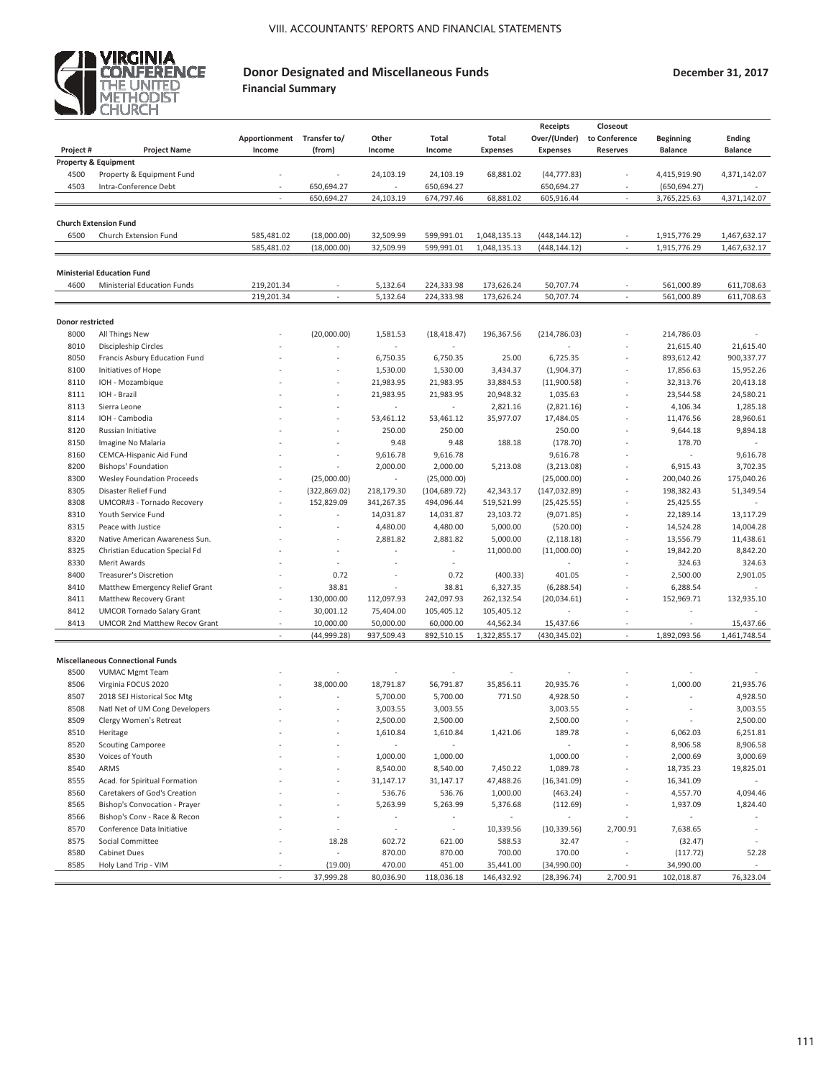

# **Donor Designated and Miscellaneous Funds**

**December 31, 2017**

| <b>Financial Summary</b> |  |
|--------------------------|--|
|--------------------------|--|

|                  |                                         |                            |                            |                          |                          |                              | Receipts                       | Closeout                 |                              |                              |
|------------------|-----------------------------------------|----------------------------|----------------------------|--------------------------|--------------------------|------------------------------|--------------------------------|--------------------------|------------------------------|------------------------------|
|                  |                                         | Apportionment Transfer to/ |                            | Other                    | Total                    | Total                        | Over/(Under)                   | to Conference            | <b>Beginning</b>             | <b>Ending</b>                |
| Project#         | <b>Project Name</b>                     | Income                     | (from)                     | Income                   | Income                   | <b>Expenses</b>              | <b>Expenses</b>                | <b>Reserves</b>          | <b>Balance</b>               | <b>Balance</b>               |
|                  | <b>Property &amp; Equipment</b>         |                            |                            |                          |                          |                              |                                |                          |                              |                              |
| 4500             | Property & Equipment Fund               |                            |                            | 24,103.19                | 24,103.19                | 68,881.02                    | (44, 777.83)                   |                          | 4,415,919.90                 | 4,371,142.07                 |
| 4503             | Intra-Conference Debt                   |                            | 650,694.27                 | ÷.                       | 650,694.27               |                              | 650,694.27                     |                          | (650, 694.27)                |                              |
|                  |                                         | $\sim$                     | 650,694.27                 | 24,103.19                | 674,797.46               | 68,881.02                    | 605,916.44                     | $\overline{\phantom{a}}$ | 3,765,225.63                 | 4,371,142.07                 |
|                  |                                         |                            |                            |                          |                          |                              |                                |                          |                              |                              |
|                  | <b>Church Extension Fund</b>            |                            |                            |                          |                          |                              |                                |                          |                              |                              |
| 6500             | Church Extension Fund                   |                            |                            |                          |                          |                              |                                |                          |                              |                              |
|                  |                                         | 585,481.02<br>585,481.02   | (18,000.00)<br>(18,000.00) | 32,509.99<br>32,509.99   | 599,991.01<br>599,991.01 | 1,048,135.13<br>1,048,135.13 | (448, 144.12)<br>(448, 144.12) | $\overline{\phantom{a}}$ | 1,915,776.29<br>1,915,776.29 | 1,467,632.17<br>1,467,632.17 |
|                  |                                         |                            |                            |                          |                          |                              |                                |                          |                              |                              |
|                  |                                         |                            |                            |                          |                          |                              |                                |                          |                              |                              |
|                  | <b>Ministerial Education Fund</b>       |                            |                            |                          |                          |                              |                                |                          |                              |                              |
| 4600             | Ministerial Education Funds             | 219,201.34                 |                            | 5,132.64                 | 224,333.98               | 173,626.24                   | 50,707.74                      |                          | 561,000.89                   | 611,708.63                   |
|                  |                                         | 219,201.34                 | $\bar{z}$                  | 5,132.64                 | 224,333.98               | 173,626.24                   | 50,707.74                      | $\bar{z}$                | 561,000.89                   | 611,708.63                   |
|                  |                                         |                            |                            |                          |                          |                              |                                |                          |                              |                              |
| Donor restricted |                                         |                            |                            |                          |                          |                              |                                |                          |                              |                              |
| 8000             | All Things New                          |                            | (20,000.00)                | 1,581.53                 | (18, 418.47)             | 196,367.56                   | (214, 786.03)                  |                          | 214,786.03                   |                              |
| 8010             | <b>Discipleship Circles</b>             |                            |                            | ÷                        |                          |                              |                                |                          | 21,615.40                    | 21,615.40                    |
| 8050             | Francis Asbury Education Fund           |                            |                            | 6,750.35                 | 6,750.35                 | 25.00                        | 6,725.35                       |                          | 893,612.42                   | 900,337.77                   |
| 8100             | Initiatives of Hope                     |                            |                            | 1,530.00                 | 1,530.00                 | 3,434.37                     | (1,904.37)                     |                          | 17,856.63                    | 15,952.26                    |
| 8110             | IOH - Mozambique                        |                            |                            | 21,983.95                | 21,983.95                | 33,884.53                    | (11,900.58)                    |                          | 32,313.76                    | 20,413.18                    |
| 8111             | IOH - Brazil                            |                            |                            | 21,983.95                | 21,983.95                | 20,948.32                    | 1,035.63                       |                          | 23,544.58                    | 24,580.21                    |
| 8113             | Sierra Leone                            |                            |                            | $\sim$                   | $\sim$                   | 2,821.16                     | (2,821.16)                     |                          | 4,106.34                     | 1,285.18                     |
| 8114             | IOH - Cambodia                          |                            |                            | 53,461.12                | 53,461.12                | 35,977.07                    | 17,484.05                      |                          | 11,476.56                    | 28,960.61                    |
| 8120             | Russian Initiative                      |                            |                            | 250.00                   | 250.00                   |                              | 250.00                         |                          | 9,644.18                     | 9,894.18                     |
| 8150             | Imagine No Malaria                      |                            |                            | 9.48                     | 9.48                     | 188.18                       | (178.70)                       |                          | 178.70                       |                              |
| 8160             | CEMCA-Hispanic Aid Fund                 |                            |                            | 9,616.78                 | 9,616.78                 |                              | 9,616.78                       |                          | $\overline{\phantom{a}}$     | 9,616.78                     |
| 8200             | Bishops' Foundation                     |                            | ٠                          | 2,000.00                 | 2,000.00                 | 5,213.08                     | (3,213.08)                     |                          | 6,915.43                     | 3,702.35                     |
| 8300             | <b>Wesley Foundation Proceeds</b>       |                            | (25,000.00)                | $\sim$                   | (25,000.00)              |                              | (25,000.00)                    |                          | 200,040.26                   | 175,040.26                   |
| 8305             | Disaster Relief Fund                    |                            | (322, 869.02)              | 218,179.30               | (104, 689.72)            | 42,343.17                    | (147, 032.89)                  |                          | 198,382.43                   | 51,349.54                    |
| 8308             | UMCOR#3 - Tornado Recovery              |                            | 152,829.09                 | 341,267.35               | 494,096.44               | 519,521.99                   | (25, 425.55)                   |                          | 25,425.55                    |                              |
| 8310             | Youth Service Fund                      |                            |                            | 14,031.87                | 14,031.87                | 23,103.72                    | (9,071.85)                     |                          | 22,189.14                    | 13,117.29                    |
| 8315             | Peace with Justice                      |                            | $\overline{\phantom{a}}$   | 4,480.00                 | 4,480.00                 | 5,000.00                     | (520.00)                       |                          | 14,524.28                    | 14,004.28                    |
| 8320             | Native American Awareness Sun.          |                            |                            | 2,881.82                 | 2,881.82                 | 5,000.00                     | (2, 118.18)                    |                          | 13,556.79                    | 11,438.61                    |
| 8325             | Christian Education Special Fd          |                            |                            |                          | ٠                        | 11,000.00                    | (11,000.00)                    |                          | 19,842.20                    | 8,842.20                     |
| 8330             | Merit Awards                            |                            |                            |                          |                          |                              |                                |                          | 324.63                       | 324.63                       |
| 8400             | Treasurer's Discretion                  |                            | 0.72                       |                          | 0.72                     | (400.33)                     | 401.05                         |                          | 2,500.00                     | 2,901.05                     |
| 8410             | Matthew Emergency Relief Grant          |                            | 38.81                      |                          | 38.81                    | 6,327.35                     | (6, 288.54)                    |                          | 6,288.54                     |                              |
| 8411             | Matthew Recovery Grant                  |                            | 130,000.00                 | 112,097.93               | 242,097.93               | 262,132.54                   | (20,034.61)                    |                          | 152,969.71                   | 132,935.10                   |
| 8412             | <b>UMCOR Tornado Salary Grant</b>       | ä,                         | 30,001.12                  | 75,404.00                | 105,405.12               | 105,405.12                   |                                |                          | $\sim$                       |                              |
| 8413             | UMCOR 2nd Matthew Recov Grant           | $\sim$                     | 10,000.00                  | 50,000.00                | 60,000.00                | 44,562.34                    | 15,437.66                      |                          | $\sim$                       | 15,437.66                    |
|                  |                                         | $\sim$                     | (44,999.28)                | 937,509.43               | 892,510.15               | 1,322,855.17                 | (430, 345.02)                  | $\sim$                   | 1,892,093.56                 | 1,461,748.54                 |
|                  |                                         |                            |                            |                          |                          |                              |                                |                          |                              |                              |
|                  | <b>Miscellaneous Connectional Funds</b> |                            |                            |                          |                          |                              |                                |                          |                              |                              |
| 8500             |                                         |                            |                            |                          |                          |                              |                                |                          |                              |                              |
|                  | <b>VUMAC Mgmt Team</b>                  |                            | 38,000.00                  |                          |                          |                              |                                |                          | 1,000.00                     | 21,935.76                    |
| 8506             | Virginia FOCUS 2020                     |                            |                            | 18,791.87                | 56,791.87                | 35,856.11                    | 20,935.76                      |                          |                              |                              |
| 8507             | 2018 SEJ Historical Soc Mtg             |                            |                            | 5,700.00                 | 5,700.00                 | 771.50                       | 4,928.50                       |                          |                              | 4,928.50                     |
| 8508             | Natl Net of UM Cong Developers          |                            |                            | 3,003.55                 | 3,003.55                 |                              | 3,003.55                       |                          |                              | 3,003.55                     |
| 8509             | Clergy Women's Retreat                  |                            |                            | 2,500.00                 | 2,500.00                 |                              | 2,500.00                       |                          |                              | 2,500.00                     |
| 8510             | Heritage                                |                            |                            | 1,610.84                 | 1,610.84                 | 1,421.06                     | 189.78                         |                          | 6,062.03                     | 6,251.81                     |
| 8520             | <b>Scouting Camporee</b>                |                            |                            | $\overline{\phantom{a}}$ | $\overline{\phantom{a}}$ |                              |                                |                          | 8,906.58                     | 8,906.58                     |
| 8530             | Voices of Youth                         |                            |                            | 1,000.00                 | 1,000.00                 |                              | 1,000.00                       |                          | 2,000.69                     | 3,000.69                     |
| 8540             | ARMS                                    |                            |                            | 8,540.00                 | 8,540.00                 | 7,450.22                     | 1,089.78                       |                          | 18,735.23                    | 19,825.01                    |
| 8555             | Acad. for Spiritual Formation           |                            |                            | 31,147.17                | 31,147.17                | 47,488.26                    | (16, 341.09)                   |                          | 16,341.09                    | $\sim$                       |
| 8560             | Caretakers of God's Creation            |                            |                            | 536.76                   | 536.76                   | 1,000.00                     | (463.24)                       | ٠                        | 4,557.70                     | 4,094.46                     |
| 8565             | Bishop's Convocation - Prayer           |                            |                            | 5,263.99                 | 5,263.99                 | 5,376.68                     | (112.69)                       |                          | 1,937.09                     | 1,824.40                     |
| 8566             | Bishop's Conv - Race & Recon            |                            | $\overline{\phantom{a}}$   | $\overline{\phantom{a}}$ | $\overline{\phantom{a}}$ | $\sim$                       |                                |                          | $\overline{\phantom{a}}$     |                              |
| 8570             | Conference Data Initiative              |                            | ×,                         | $\overline{\phantom{a}}$ | $\overline{\phantom{a}}$ | 10,339.56                    | (10, 339.56)                   | 2,700.91                 | 7,638.65                     |                              |
| 8575             | Social Committee                        |                            | 18.28                      | 602.72                   | 621.00                   | 588.53                       | 32.47                          |                          | (32.47)                      |                              |
| 8580             | <b>Cabinet Dues</b>                     |                            | $\overline{\phantom{a}}$   | 870.00                   | 870.00                   | 700.00                       | 170.00                         |                          | (117.72)                     | 52.28                        |
| 8585             | Holy Land Trip - VIM                    |                            | (19.00)                    | 470.00                   | 451.00                   | 35,441.00                    | (34,990.00)                    |                          | 34,990.00                    |                              |
|                  |                                         | $\omega$                   | 37,999.28                  | 80,036.90                | 118,036.18               | 146,432.92                   | (28, 396.74)                   | 2,700.91                 | 102,018.87                   | 76,323.04                    |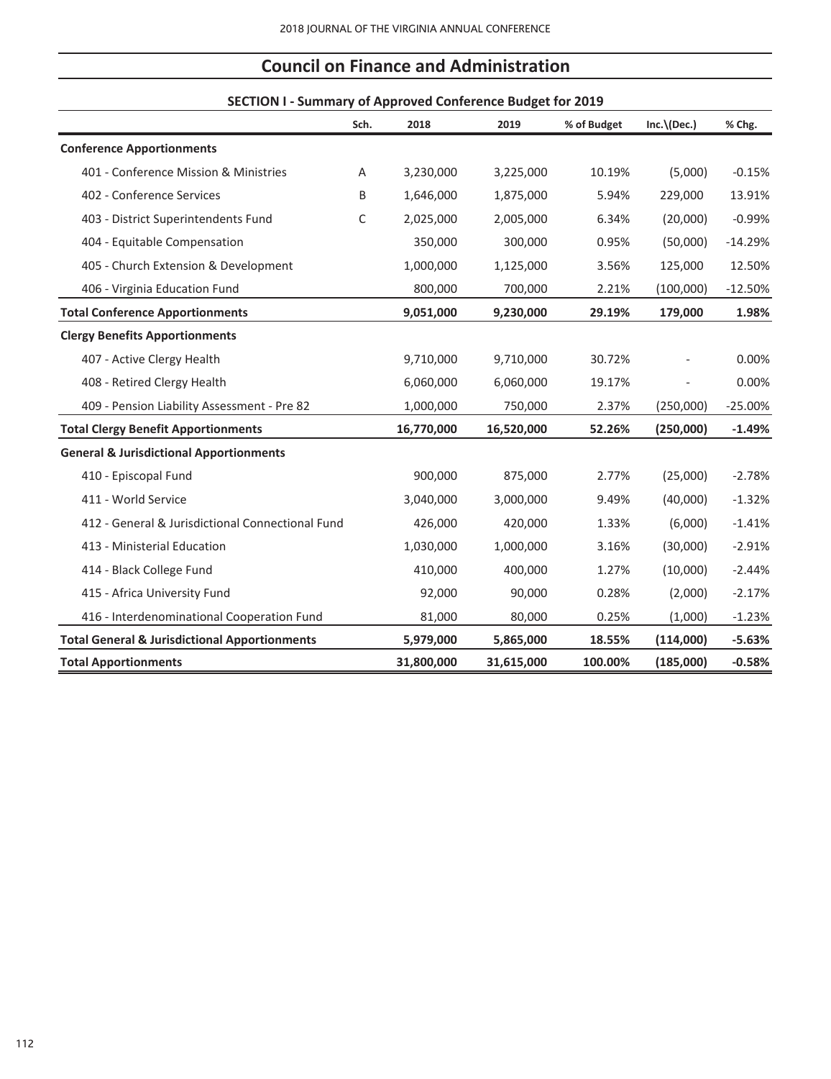# **Council on Finance and Administration**

|                                                          | SECTION I - Summary of Approved Conference Budget for 2019 |            |            |             |                         |           |  |  |  |  |  |
|----------------------------------------------------------|------------------------------------------------------------|------------|------------|-------------|-------------------------|-----------|--|--|--|--|--|
|                                                          | Sch.                                                       | 2018       | 2019       | % of Budget | $Inc. \setminus (Dec.)$ | % Chg.    |  |  |  |  |  |
| <b>Conference Apportionments</b>                         |                                                            |            |            |             |                         |           |  |  |  |  |  |
| 401 - Conference Mission & Ministries                    | A                                                          | 3,230,000  | 3,225,000  | 10.19%      | (5,000)                 | $-0.15%$  |  |  |  |  |  |
| 402 - Conference Services                                | B                                                          | 1,646,000  | 1,875,000  | 5.94%       | 229,000                 | 13.91%    |  |  |  |  |  |
| 403 - District Superintendents Fund                      | C                                                          | 2,025,000  | 2,005,000  | 6.34%       | (20,000)                | $-0.99%$  |  |  |  |  |  |
| 404 - Equitable Compensation                             |                                                            | 350,000    | 300,000    | 0.95%       | (50,000)                | $-14.29%$ |  |  |  |  |  |
| 405 - Church Extension & Development                     |                                                            | 1,000,000  | 1,125,000  | 3.56%       | 125,000                 | 12.50%    |  |  |  |  |  |
| 406 - Virginia Education Fund                            |                                                            | 800,000    | 700,000    | 2.21%       | (100,000)               | $-12.50%$ |  |  |  |  |  |
| <b>Total Conference Apportionments</b>                   |                                                            | 9,051,000  | 9,230,000  | 29.19%      | 179,000                 | 1.98%     |  |  |  |  |  |
| <b>Clergy Benefits Apportionments</b>                    |                                                            |            |            |             |                         |           |  |  |  |  |  |
| 407 - Active Clergy Health                               |                                                            | 9,710,000  | 9,710,000  | 30.72%      |                         | 0.00%     |  |  |  |  |  |
| 408 - Retired Clergy Health                              |                                                            | 6,060,000  | 6,060,000  | 19.17%      |                         | 0.00%     |  |  |  |  |  |
| 409 - Pension Liability Assessment - Pre 82              |                                                            | 1,000,000  | 750,000    | 2.37%       | (250,000)               | $-25.00%$ |  |  |  |  |  |
| <b>Total Clergy Benefit Apportionments</b>               |                                                            | 16,770,000 | 16,520,000 | 52.26%      | (250,000)               | $-1.49%$  |  |  |  |  |  |
| <b>General &amp; Jurisdictional Apportionments</b>       |                                                            |            |            |             |                         |           |  |  |  |  |  |
| 410 - Episcopal Fund                                     |                                                            | 900,000    | 875,000    | 2.77%       | (25,000)                | $-2.78%$  |  |  |  |  |  |
| 411 - World Service                                      |                                                            | 3,040,000  | 3,000,000  | 9.49%       | (40,000)                | $-1.32%$  |  |  |  |  |  |
| 412 - General & Jurisdictional Connectional Fund         |                                                            | 426,000    | 420,000    | 1.33%       | (6,000)                 | $-1.41%$  |  |  |  |  |  |
| 413 - Ministerial Education                              |                                                            | 1,030,000  | 1,000,000  | 3.16%       | (30,000)                | $-2.91%$  |  |  |  |  |  |
| 414 - Black College Fund                                 |                                                            | 410,000    | 400,000    | 1.27%       | (10,000)                | $-2.44%$  |  |  |  |  |  |
| 415 - Africa University Fund                             |                                                            | 92,000     | 90,000     | 0.28%       | (2,000)                 | $-2.17%$  |  |  |  |  |  |
| 416 - Interdenominational Cooperation Fund               |                                                            | 81,000     | 80,000     | 0.25%       | (1,000)                 | $-1.23%$  |  |  |  |  |  |
| <b>Total General &amp; Jurisdictional Apportionments</b> |                                                            | 5,979,000  | 5,865,000  | 18.55%      | (114,000)               | $-5.63%$  |  |  |  |  |  |
| <b>Total Apportionments</b>                              |                                                            | 31,800,000 | 31,615,000 | 100.00%     | (185,000)               | $-0.58%$  |  |  |  |  |  |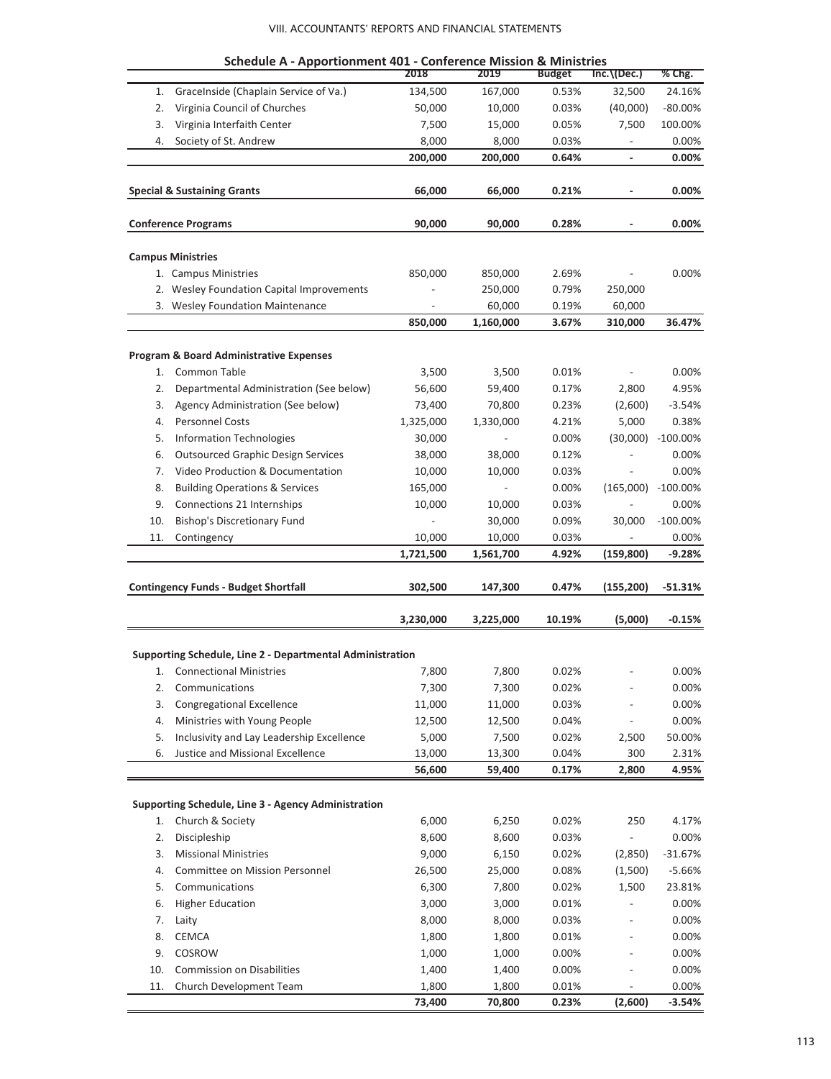#### VIII. ACCOUNTANTS' REPORTS AND FINANCIAL STATEMENTS

|          | $\frac{1}{2}$<br>,,,,,,,,,,                                                             | 2018           | 2019           | <b>Budget</b>  | $Inc. \setminus (Dec.)$      | % Chg.         |
|----------|-----------------------------------------------------------------------------------------|----------------|----------------|----------------|------------------------------|----------------|
| 1.       | GraceInside (Chaplain Service of Va.)                                                   | 134,500        | 167,000        | 0.53%          | 32,500                       | 24.16%         |
| 2.       | Virginia Council of Churches                                                            | 50,000         | 10,000         | 0.03%          | (40,000)                     | $-80.00\%$     |
| 3.       | Virginia Interfaith Center                                                              | 7,500          | 15,000         | 0.05%          | 7,500                        | 100.00%        |
| 4.       | Society of St. Andrew                                                                   | 8,000          | 8,000          | 0.03%          |                              | 0.00%          |
|          |                                                                                         | 200,000        | 200,000        | 0.64%          | $\qquad \qquad \blacksquare$ | $0.00\%$       |
|          | <b>Special &amp; Sustaining Grants</b>                                                  | 66,000         | 66,000         | 0.21%          | $\qquad \qquad \blacksquare$ | $0.00\%$       |
|          |                                                                                         |                |                |                |                              |                |
|          | <b>Conference Programs</b>                                                              | 90,000         | 90,000         | 0.28%          |                              | 0.00%          |
|          | <b>Campus Ministries</b>                                                                |                |                |                |                              |                |
|          | 1. Campus Ministries                                                                    | 850,000        | 850,000        | 2.69%          |                              | 0.00%          |
|          | 2. Wesley Foundation Capital Improvements                                               |                | 250,000        | 0.79%          | 250,000                      |                |
|          | 3. Wesley Foundation Maintenance                                                        |                | 60,000         | 0.19%          | 60,000                       |                |
|          |                                                                                         | 850,000        | 1,160,000      | 3.67%          | 310,000                      | 36.47%         |
|          | <b>Program &amp; Board Administrative Expenses</b>                                      |                |                |                |                              |                |
| 1.       | Common Table                                                                            | 3,500          | 3,500          | 0.01%          |                              | 0.00%          |
| 2.       | Departmental Administration (See below)                                                 | 56,600         | 59,400         | 0.17%          | 2,800                        | 4.95%          |
| 3.       | Agency Administration (See below)                                                       | 73,400         | 70,800         | 0.23%          | (2,600)                      | $-3.54%$       |
| 4.       | <b>Personnel Costs</b>                                                                  | 1,325,000      | 1,330,000      | 4.21%          | 5,000                        | 0.38%          |
| 5.       | <b>Information Technologies</b>                                                         | 30,000         |                | 0.00%          | (30,000)                     | $-100.00\%$    |
| 6.       | <b>Outsourced Graphic Design Services</b>                                               | 38,000         | 38,000         | 0.12%          |                              | 0.00%          |
| 7.       | Video Production & Documentation                                                        | 10,000         | 10,000         | 0.03%          |                              | 0.00%          |
| 8.       | <b>Building Operations &amp; Services</b>                                               | 165,000        |                | 0.00%          | (165,000)                    | $-100.00\%$    |
| 9.       | Connections 21 Internships                                                              | 10,000         | 10,000         | 0.03%          |                              | 0.00%          |
| 10.      | Bishop's Discretionary Fund                                                             |                | 30,000         | 0.09%          | 30,000                       | $-100.00\%$    |
| 11.      | Contingency                                                                             | 10,000         | 10,000         | 0.03%          |                              | 0.00%          |
|          |                                                                                         | 1,721,500      | 1,561,700      | 4.92%          | (159,800)                    | -9.28%         |
|          | <b>Contingency Funds - Budget Shortfall</b>                                             | 302,500        | 147,300        | 0.47%          | (155, 200)                   | -51.31%        |
|          |                                                                                         | 3,230,000      | 3,225,000      | 10.19%         | (5,000)                      | $-0.15%$       |
|          |                                                                                         |                |                |                |                              |                |
|          | Supporting Schedule, Line 2 - Departmental Administration<br>1. Connectional Ministries | 7,800          | 7,800          | 0.02%          |                              | 0.00%          |
| 2.       | Communications                                                                          | 7,300          | 7,300          | 0.02%          | $\overline{\phantom{0}}$     | 0.00%          |
| 3.       | <b>Congregational Excellence</b>                                                        | 11,000         | 11,000         | 0.03%          |                              | 0.00%          |
| 4.       | Ministries with Young People                                                            | 12,500         | 12,500         | 0.04%          |                              | 0.00%          |
| 5.       | Inclusivity and Lay Leadership Excellence                                               | 5,000          | 7,500          | 0.02%          | 2,500                        | 50.00%         |
| 6.       | Justice and Missional Excellence                                                        | 13,000         | 13,300         | 0.04%          | 300                          | 2.31%          |
|          |                                                                                         | 56,600         | 59,400         | 0.17%          | 2,800                        | 4.95%          |
|          |                                                                                         |                |                |                |                              |                |
|          | Supporting Schedule, Line 3 - Agency Administration                                     |                |                |                |                              |                |
| 1.       | Church & Society                                                                        | 6,000          | 6,250          | 0.02%          | 250                          | 4.17%          |
| 2.       | Discipleship                                                                            | 8,600          | 8,600          | 0.03%          |                              | 0.00%          |
| 3.       | <b>Missional Ministries</b>                                                             | 9,000          | 6,150          | 0.02%          | (2,850)                      | $-31.67%$      |
| 4.       | Committee on Mission Personnel                                                          | 26,500         | 25,000         | 0.08%          | (1,500)                      | $-5.66%$       |
| 5.       | Communications                                                                          | 6,300          | 7,800          | 0.02%          | 1,500                        | 23.81%         |
| 6.       | <b>Higher Education</b>                                                                 | 3,000          | 3,000          | 0.01%          |                              | 0.00%          |
| 7.       | Laity                                                                                   | 8,000          | 8,000          | 0.03%          |                              | 0.00%<br>0.00% |
| 8.<br>9. | <b>CEMCA</b><br>COSROW                                                                  | 1,800<br>1,000 | 1,800<br>1,000 | 0.01%<br>0.00% |                              | 0.00%          |
| 10.      | Commission on Disabilities                                                              | 1,400          | 1,400          | 0.00%          |                              | 0.00%          |
| 11.      | Church Development Team                                                                 | 1,800          | 1,800          | 0.01%          |                              | 0.00%          |
|          |                                                                                         | 73,400         | 70,800         | 0.23%          | (2,600)                      | $-3.54%$       |

#### **Schedule A - Apportionment 401 - Conference Mission & Ministries**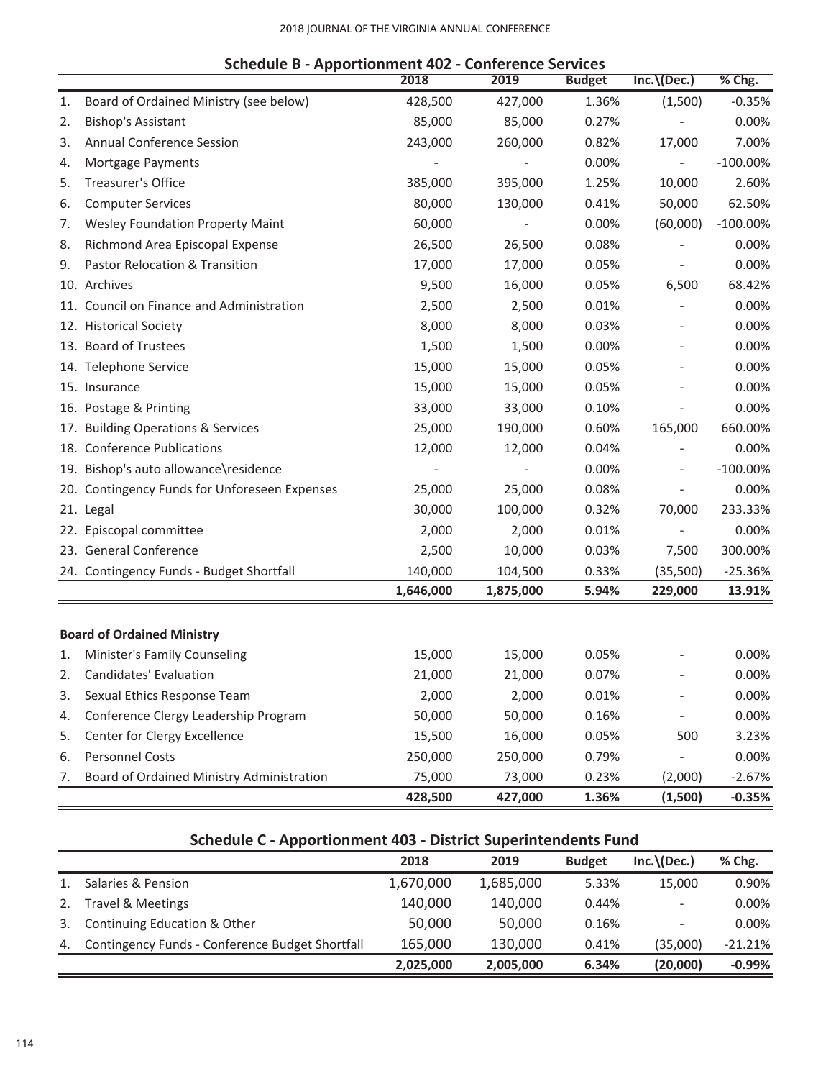|     |                                               | 2018      | 2019      | <b>Budget</b> | $Inc. \setminus (Dec.)$ | % Chg.      |
|-----|-----------------------------------------------|-----------|-----------|---------------|-------------------------|-------------|
| 1.  | Board of Ordained Ministry (see below)        | 428,500   | 427,000   | 1.36%         | (1,500)                 | $-0.35%$    |
| 2.  | <b>Bishop's Assistant</b>                     | 85,000    | 85,000    | 0.27%         |                         | 0.00%       |
| 3.  | Annual Conference Session                     | 243,000   | 260,000   | 0.82%         | 17,000                  | 7.00%       |
| 4.  | Mortgage Payments                             |           |           | 0.00%         |                         | $-100.00\%$ |
| 5.  | Treasurer's Office                            | 385,000   | 395,000   | 1.25%         | 10,000                  | 2.60%       |
| 6.  | <b>Computer Services</b>                      | 80,000    | 130,000   | 0.41%         | 50,000                  | 62.50%      |
| 7.  | <b>Wesley Foundation Property Maint</b>       | 60,000    |           | 0.00%         | (60,000)                | $-100.00\%$ |
| 8.  | Richmond Area Episcopal Expense               | 26,500    | 26,500    | 0.08%         |                         | 0.00%       |
| 9.  | Pastor Relocation & Transition                | 17,000    | 17,000    | 0.05%         |                         | 0.00%       |
|     | 10. Archives                                  | 9,500     | 16,000    | 0.05%         | 6,500                   | 68.42%      |
|     | 11. Council on Finance and Administration     | 2,500     | 2,500     | 0.01%         |                         | 0.00%       |
|     | 12. Historical Society                        | 8,000     | 8,000     | 0.03%         |                         | 0.00%       |
|     | 13. Board of Trustees                         | 1,500     | 1,500     | 0.00%         |                         | 0.00%       |
|     | 14. Telephone Service                         | 15,000    | 15,000    | 0.05%         |                         | 0.00%       |
|     | 15. Insurance                                 | 15,000    | 15,000    | 0.05%         |                         | 0.00%       |
|     | 16. Postage & Printing                        | 33,000    | 33,000    | 0.10%         |                         | 0.00%       |
| 17. | <b>Building Operations &amp; Services</b>     | 25,000    | 190,000   | 0.60%         | 165,000                 | 660.00%     |
|     | 18. Conference Publications                   | 12,000    | 12,000    | 0.04%         |                         | 0.00%       |
|     | 19. Bishop's auto allowance\residence         |           |           | 0.00%         | $\overline{a}$          | $-100.00\%$ |
|     | 20. Contingency Funds for Unforeseen Expenses | 25,000    | 25,000    | 0.08%         |                         | 0.00%       |
|     | 21. Legal                                     | 30,000    | 100,000   | 0.32%         | 70,000                  | 233.33%     |
|     | 22. Episcopal committee                       | 2,000     | 2,000     | 0.01%         |                         | 0.00%       |
|     | 23. General Conference                        | 2,500     | 10,000    | 0.03%         | 7,500                   | 300.00%     |
|     | 24. Contingency Funds - Budget Shortfall      | 140,000   | 104,500   | 0.33%         | (35,500)                | $-25.36%$   |
|     |                                               | 1,646,000 | 1,875,000 | 5.94%         | 229,000                 | 13.91%      |
|     |                                               |           |           |               |                         |             |
|     | <b>Board of Ordained Ministry</b>             |           |           |               |                         |             |
| 1.  | Minister's Family Counseling                  | 15,000    | 15,000    | 0.05%         |                         | 0.00%       |
| 2.  | Candidates' Evaluation                        | 21,000    | 21,000    | 0.07%         |                         | 0.00%       |
| 3.  | Sexual Ethics Response Team                   | 2,000     | 2,000     | 0.01%         |                         | 0.00%       |
| 4.  | Conference Clergy Leadership Program          | 50,000    | 50,000    | 0.16%         |                         | 0.00%       |
| 5.  | Center for Clergy Excellence                  | 15,500    | 16,000    | 0.05%         | 500                     | 3.23%       |
| 6.  | <b>Personnel Costs</b>                        | 250,000   | 250,000   | 0.79%         |                         | 0.00%       |
| 7.  | Board of Ordained Ministry Administration     | 75,000    | 73,000    | 0.23%         | (2,000)                 | $-2.67%$    |
|     |                                               | 428,500   | 427,000   | 1.36%         | (1,500)                 | $-0.35%$    |

## **Schedule B - Apportionment 402 - Conference Services**

# **Schedule C - Apportionment 403 - District Superintendents Fund**

|    | . .                                             |           |           |               |                          |           |
|----|-------------------------------------------------|-----------|-----------|---------------|--------------------------|-----------|
|    |                                                 | 2018      | 2019      | <b>Budget</b> | $Inc. \setminus (Dec.)$  | % Chg.    |
| 1. | Salaries & Pension                              | 1,670,000 | 1,685,000 | 5.33%         | 15,000                   | 0.90%     |
| 2. | Travel & Meetings                               | 140,000   | 140,000   | 0.44%         | $\overline{\phantom{a}}$ | $0.00\%$  |
| 3. | Continuing Education & Other                    | 50,000    | 50,000    | 0.16%         | $\overline{\phantom{0}}$ | $0.00\%$  |
| 4. | Contingency Funds - Conference Budget Shortfall | 165,000   | 130,000   | 0.41%         | (35,000)                 | $-21.21%$ |
|    |                                                 | 2,025,000 | 2,005,000 | 6.34%         | (20,000)                 | $-0.99%$  |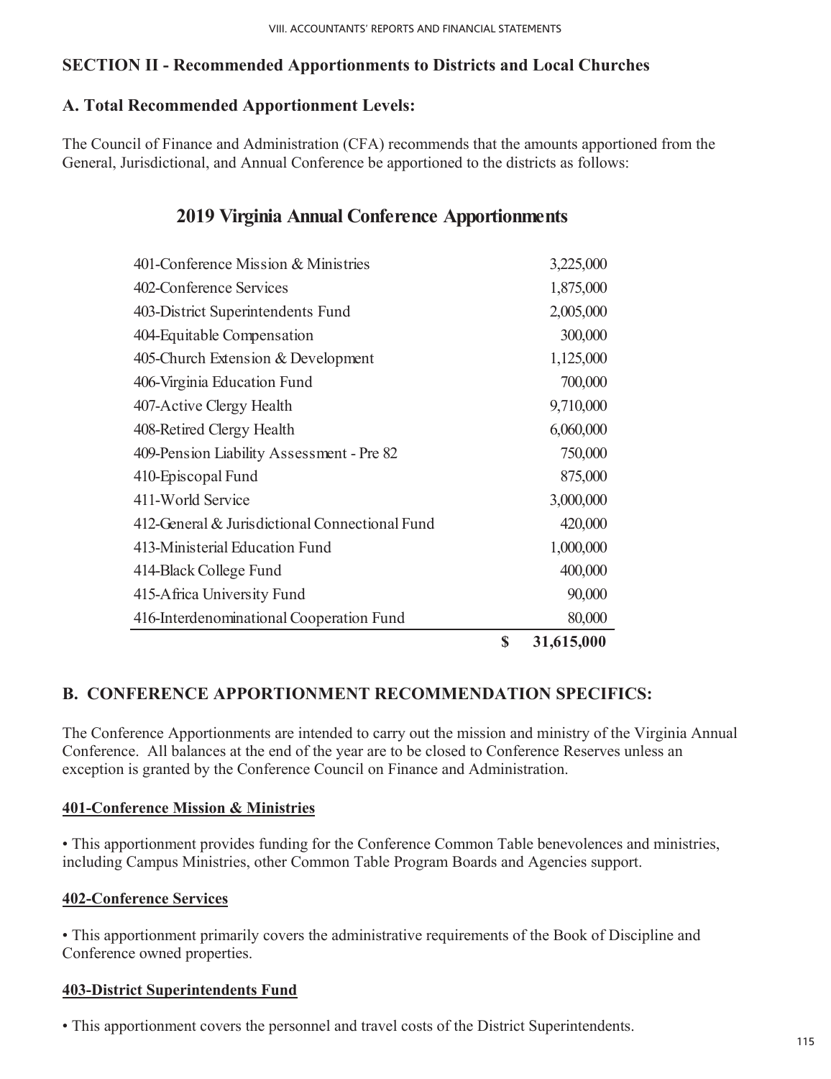# **SECTION II - Recommended Apportionments to Districts and Local Churches**

# **A. Total Recommended Apportionment Levels:**

The Council of Finance and Administration (CFA) recommends that the amounts apportioned from the General, Jurisdictional, and Annual Conference be apportioned to the districts as follows:

# **2019 Virginia Annual Conference Apportionments**

|                                                | \$<br>31,615,000 |
|------------------------------------------------|------------------|
| 416-Interdenominational Cooperation Fund       | 80,000           |
| 415-Africa University Fund                     | 90,000           |
| 414-Black College Fund                         | 400,000          |
| 413-Ministerial Education Fund                 | 1,000,000        |
| 412-General & Jurisdictional Connectional Fund | 420,000          |
| 411-World Service                              | 3,000,000        |
| 410-Episcopal Fund                             | 875,000          |
| 409-Pension Liability Assessment - Pre 82      | 750,000          |
| 408-Retired Clergy Health                      | 6,060,000        |
| 407-Active Clergy Health                       | 9,710,000        |
| 406-Virginia Education Fund                    | 700,000          |
| 405-Church Extension & Development             | 1,125,000        |
| 404-Equitable Compensation                     | 300,000          |
| 403-District Superintendents Fund              | 2,005,000        |
| 402-Conference Services                        | 1,875,000        |
| 401-Conference Mission & Ministries            | 3,225,000        |

# **B. CONFERENCE APPORTIONMENT RECOMMENDATION SPECIFICS:**

The Conference Apportionments are intended to carry out the mission and ministry of the Virginia Annual Conference. All balances at the end of the year are to be closed to Conference Reserves unless an exception is granted by the Conference Council on Finance and Administration.

# **401-Conference Mission & Ministries**

• This apportionment provides funding for the Conference Common Table benevolences and ministries, including Campus Ministries, other Common Table Program Boards and Agencies support.

# **402-Conference Services**

• This apportionment primarily covers the administrative requirements of the Book of Discipline and Conference owned properties.

# **403-District Superintendents Fund**

• This apportionment covers the personnel and travel costs of the District Superintendents.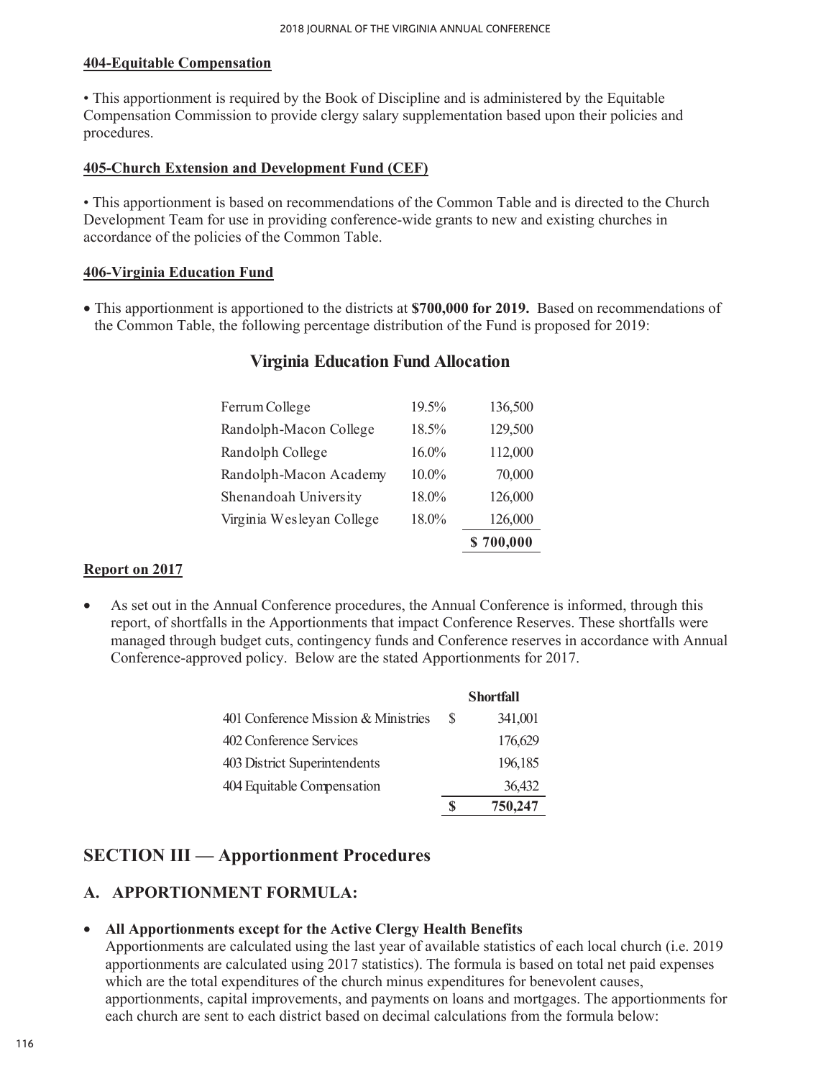## **404-Equitable Compensation**

• This apportionment is required by the Book of Discipline and is administered by the Equitable Compensation Commission to provide clergy salary supplementation based upon their policies and procedures.

## **405-Church Extension and Development Fund (CEF)**

• This apportionment is based on recommendations of the Common Table and is directed to the Church Development Team for use in providing conference-wide grants to new and existing churches in accordance of the policies of the Common Table.

#### **406-Virginia Education Fund**

• This apportionment is apportioned to the districts at **\$700,000 for 2019.** Based on recommendations of the Common Table, the following percentage distribution of the Fund is proposed for 2019:

# **Virginia Education Fund Allocation**

|                           |          | \$700,000 |
|---------------------------|----------|-----------|
| Virginia Wesleyan College | 18.0%    | 126,000   |
| Shenandoah University     | 18.0%    | 126,000   |
| Randolph-Macon Academy    | $10.0\%$ | 70,000    |
| Randolph College          | $16.0\%$ | 112,000   |
| Randolph-Macon College    | 18.5%    | 129,500   |
| Ferrum College            | 19.5%    | 136,500   |

## **Report on 2017**

• As set out in the Annual Conference procedures, the Annual Conference is informed, through this report, of shortfalls in the Apportionments that impact Conference Reserves. These shortfalls were managed through budget cuts, contingency funds and Conference reserves in accordance with Annual Conference-approved policy. Below are the stated Apportionments for 2017.

|                                     |    | <b>Shortfall</b> |
|-------------------------------------|----|------------------|
| 401 Conference Mission & Ministries | -S | 341,001          |
| 402 Conference Services             |    | 176,629          |
| 403 District Superintendents        |    | 196,185          |
| 404 Equitable Compensation          |    | 36,432           |
|                                     | S  | 750,247          |

# **SECTION III — Apportionment Procedures**

# **A. APPORTIONMENT FORMULA:**

#### • **All Apportionments except for the Active Clergy Health Benefits**

Apportionments are calculated using the last year of available statistics of each local church (i.e. 2019 apportionments are calculated using 2017 statistics). The formula is based on total net paid expenses which are the total expenditures of the church minus expenditures for benevolent causes, apportionments, capital improvements, and payments on loans and mortgages. The apportionments for each church are sent to each district based on decimal calculations from the formula below: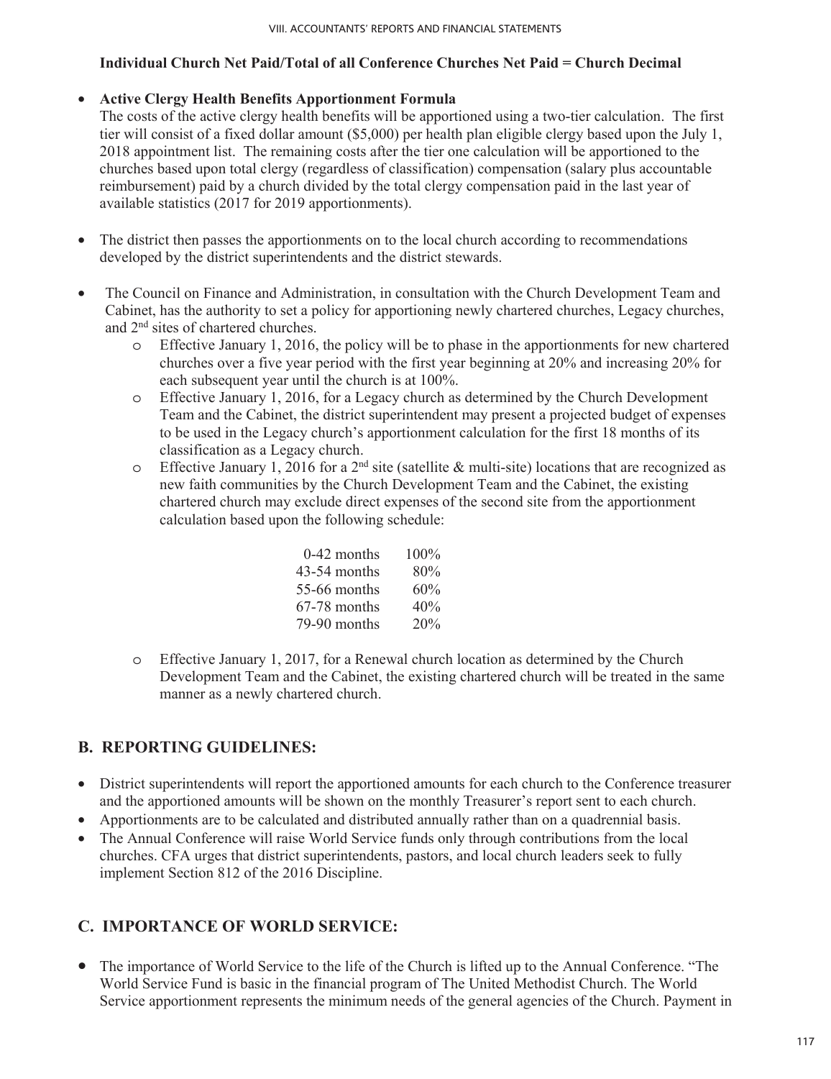# **Individual Church Net Paid/Total of all Conference Churches Net Paid = Church Decimal**

# • **Active Clergy Health Benefits Apportionment Formula**

The costs of the active clergy health benefits will be apportioned using a two-tier calculation. The first tier will consist of a fixed dollar amount (\$5,000) per health plan eligible clergy based upon the July 1, 2018 appointment list. The remaining costs after the tier one calculation will be apportioned to the churches based upon total clergy (regardless of classification) compensation (salary plus accountable reimbursement) paid by a church divided by the total clergy compensation paid in the last year of available statistics (2017 for 2019 apportionments).

- The district then passes the apportionments on to the local church according to recommendations developed by the district superintendents and the district stewards.
- The Council on Finance and Administration, in consultation with the Church Development Team and Cabinet, has the authority to set a policy for apportioning newly chartered churches, Legacy churches, and 2nd sites of chartered churches.
	- o Effective January 1, 2016, the policy will be to phase in the apportionments for new chartered churches over a five year period with the first year beginning at 20% and increasing 20% for each subsequent year until the church is at 100%.
	- o Effective January 1, 2016, for a Legacy church as determined by the Church Development Team and the Cabinet, the district superintendent may present a projected budget of expenses to be used in the Legacy church's apportionment calculation for the first 18 months of its classification as a Legacy church.
	- $\circ$  Effective January 1, 2016 for a 2<sup>nd</sup> site (satellite & multi-site) locations that are recognized as new faith communities by the Church Development Team and the Cabinet, the existing chartered church may exclude direct expenses of the second site from the apportionment calculation based upon the following schedule:

| $0-42$ months | $100\%$ |
|---------------|---------|
| 43-54 months  | 80%     |
| 55-66 months  | 60%     |
| 67-78 months  | 40%     |
| 79-90 months  | 20%     |

o Effective January 1, 2017, for a Renewal church location as determined by the Church Development Team and the Cabinet, the existing chartered church will be treated in the same manner as a newly chartered church.

# **B. REPORTING GUIDELINES:**

- District superintendents will report the apportioned amounts for each church to the Conference treasurer and the apportioned amounts will be shown on the monthly Treasurer's report sent to each church.
- Apportionments are to be calculated and distributed annually rather than on a quadrennial basis.
- The Annual Conference will raise World Service funds only through contributions from the local churches. CFA urges that district superintendents, pastors, and local church leaders seek to fully implement Section 812 of the 2016 Discipline.

# **C. IMPORTANCE OF WORLD SERVICE:**

• The importance of World Service to the life of the Church is lifted up to the Annual Conference. "The World Service Fund is basic in the financial program of The United Methodist Church. The World Service apportionment represents the minimum needs of the general agencies of the Church. Payment in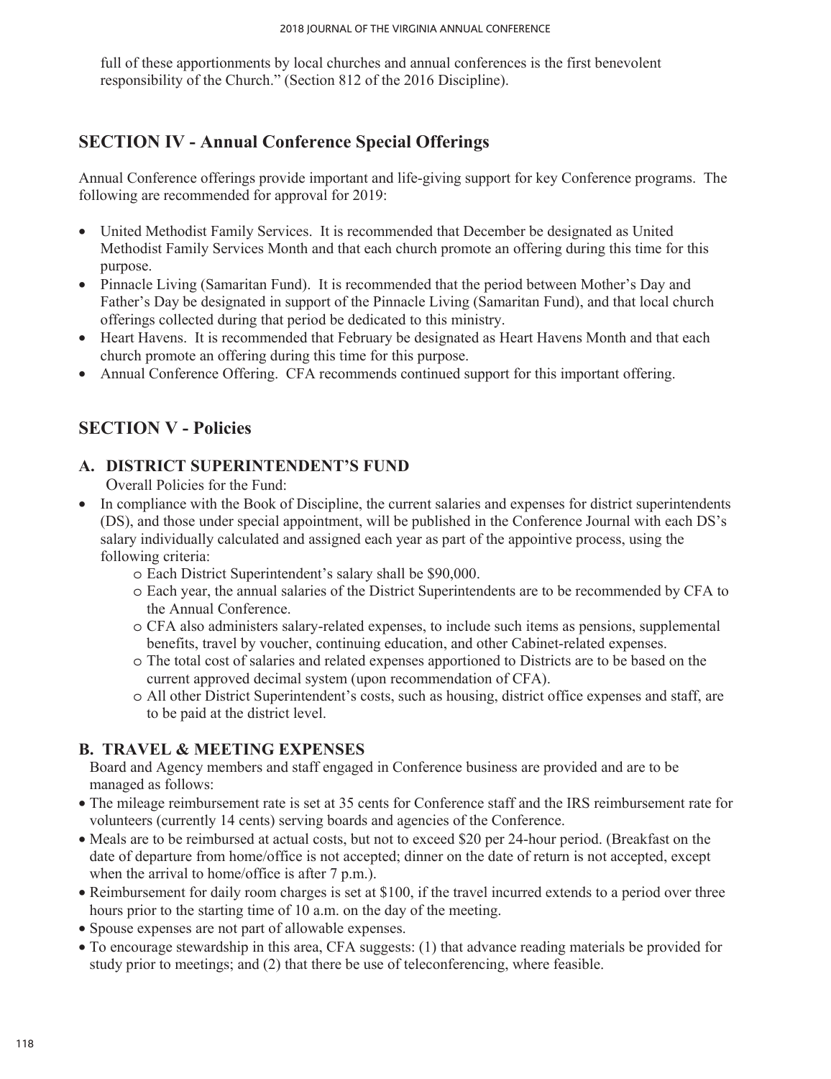full of these apportionments by local churches and annual conferences is the first benevolent responsibility of the Church." (Section 812 of the 2016 Discipline).

# **SECTION IV - Annual Conference Special Offerings**

Annual Conference offerings provide important and life-giving support for key Conference programs. The following are recommended for approval for 2019:

- United Methodist Family Services. It is recommended that December be designated as United Methodist Family Services Month and that each church promote an offering during this time for this purpose.
- Pinnacle Living (Samaritan Fund). It is recommended that the period between Mother's Day and Father's Day be designated in support of the Pinnacle Living (Samaritan Fund), and that local church offerings collected during that period be dedicated to this ministry.
- Heart Havens. It is recommended that February be designated as Heart Havens Month and that each church promote an offering during this time for this purpose.
- Annual Conference Offering. CFA recommends continued support for this important offering.

# **SECTION V - Policies**

# **A. DISTRICT SUPERINTENDENT'S FUND**

Overall Policies for the Fund:

- In compliance with the Book of Discipline, the current salaries and expenses for district superintendents (DS), and those under special appointment, will be published in the Conference Journal with each DS's salary individually calculated and assigned each year as part of the appointive process, using the following criteria:
	- o Each District Superintendent's salary shall be \$90,000.
	- o Each year, the annual salaries of the District Superintendents are to be recommended by CFA to the Annual Conference.
	- o CFA also administers salary-related expenses, to include such items as pensions, supplemental benefits, travel by voucher, continuing education, and other Cabinet-related expenses.
	- o The total cost of salaries and related expenses apportioned to Districts are to be based on the current approved decimal system (upon recommendation of CFA).
	- o All other District Superintendent's costs, such as housing, district office expenses and staff, are to be paid at the district level.

# **B. TRAVEL & MEETING EXPENSES**

Board and Agency members and staff engaged in Conference business are provided and are to be managed as follows:

- The mileage reimbursement rate is set at 35 cents for Conference staff and the IRS reimbursement rate for volunteers (currently 14 cents) serving boards and agencies of the Conference.
- Meals are to be reimbursed at actual costs, but not to exceed \$20 per 24-hour period. (Breakfast on the date of departure from home/office is not accepted; dinner on the date of return is not accepted, except when the arrival to home/office is after 7 p.m.).
- Reimbursement for daily room charges is set at \$100, if the travel incurred extends to a period over three hours prior to the starting time of 10 a.m. on the day of the meeting.
- Spouse expenses are not part of allowable expenses.
- To encourage stewardship in this area, CFA suggests: (1) that advance reading materials be provided for study prior to meetings; and (2) that there be use of teleconferencing, where feasible.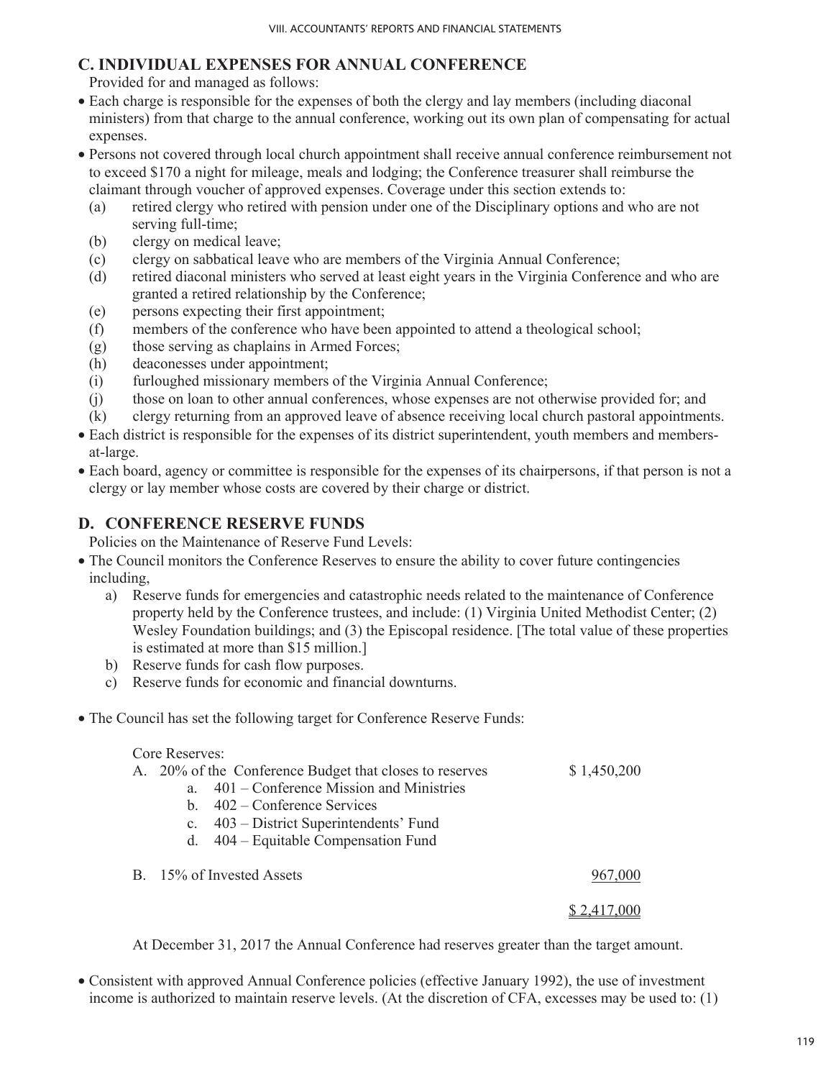# **C. INDIVIDUAL EXPENSES FOR ANNUAL CONFERENCE**

Provided for and managed as follows:

- Each charge is responsible for the expenses of both the clergy and lay members (including diaconal ministers) from that charge to the annual conference, working out its own plan of compensating for actual expenses.
- Persons not covered through local church appointment shall receive annual conference reimbursement not to exceed \$170 a night for mileage, meals and lodging; the Conference treasurer shall reimburse the claimant through voucher of approved expenses. Coverage under this section extends to:
	- (a) retired clergy who retired with pension under one of the Disciplinary options and who are not serving full-time;
	- (b) clergy on medical leave;
	- (c) clergy on sabbatical leave who are members of the Virginia Annual Conference;
	- (d) retired diaconal ministers who served at least eight years in the Virginia Conference and who are granted a retired relationship by the Conference;
	- (e) persons expecting their first appointment;
	- (f) members of the conference who have been appointed to attend a theological school;
	- (g) those serving as chaplains in Armed Forces;
	- (h) deaconesses under appointment;
	- (i) furloughed missionary members of the Virginia Annual Conference;
	- (j) those on loan to other annual conferences, whose expenses are not otherwise provided for; and
	- (k) clergy returning from an approved leave of absence receiving local church pastoral appointments.
- Each district is responsible for the expenses of its district superintendent, youth members and membersat-large.
- Each board, agency or committee is responsible for the expenses of its chairpersons, if that person is not a clergy or lay member whose costs are covered by their charge or district.

# **D. CONFERENCE RESERVE FUNDS**

Policies on the Maintenance of Reserve Fund Levels:

- The Council monitors the Conference Reserves to ensure the ability to cover future contingencies including,
	- a) Reserve funds for emergencies and catastrophic needs related to the maintenance of Conference property held by the Conference trustees, and include: (1) Virginia United Methodist Center; (2) Wesley Foundation buildings; and (3) the Episcopal residence. [The total value of these properties is estimated at more than \$15 million.]
	- b) Reserve funds for cash flow purposes.
	- c) Reserve funds for economic and financial downturns.
- The Council has set the following target for Conference Reserve Funds:

## Core Reserves:

- A. 20% of the Conference Budget that closes to reserves \$1,450,200 a. 401 – Conference Mission and Ministries
	- b. 402 Conference Services
	- c. 403 District Superintendents' Fund
	- d. 404 Equitable Compensation Fund
- B. 15% of Invested Assets 967,000 \$ 2,417,000

At December 31, 2017 the Annual Conference had reserves greater than the target amount.

• Consistent with approved Annual Conference policies (effective January 1992), the use of investment income is authorized to maintain reserve levels. (At the discretion of CFA, excesses may be used to: (1)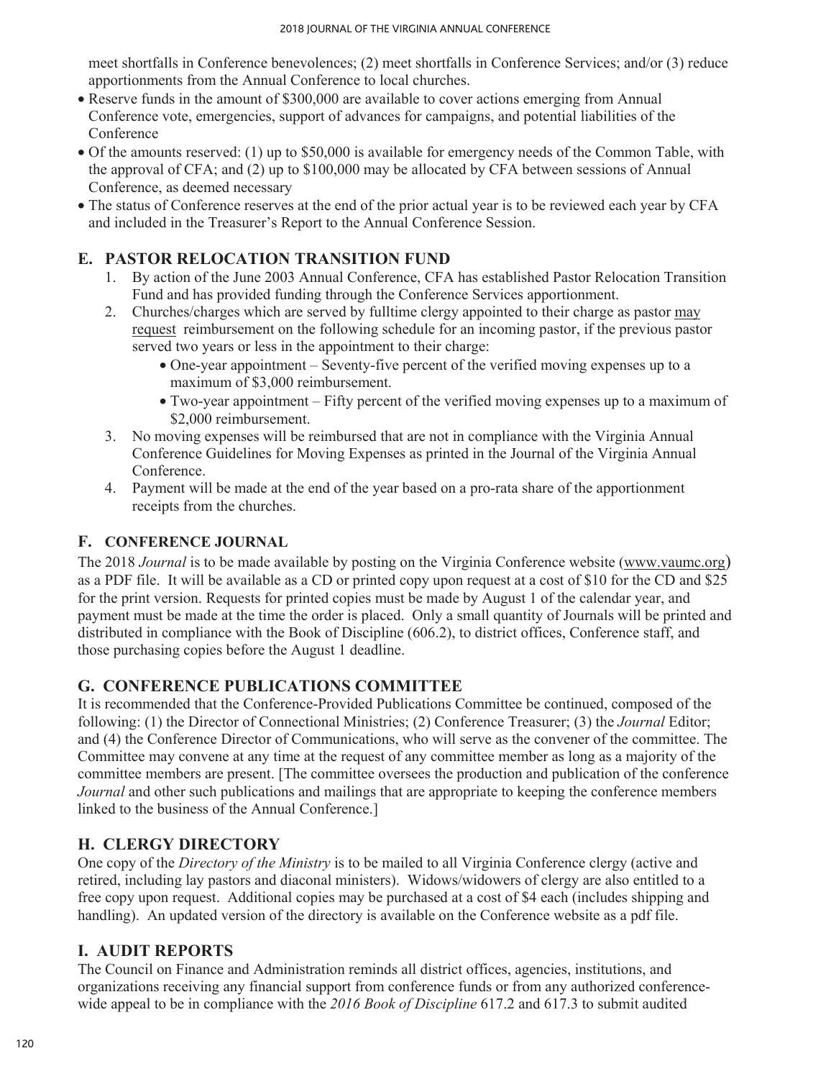meet shortfalls in Conference benevolences; (2) meet shortfalls in Conference Services; and/or (3) reduce apportionments from the Annual Conference to local churches.

- Reserve funds in the amount of \$300,000 are available to cover actions emerging from Annual Conference vote, emergencies, support of advances for campaigns, and potential liabilities of the **Conference**
- Of the amounts reserved: (1) up to \$50,000 is available for emergency needs of the Common Table, with the approval of CFA; and (2) up to \$100,000 may be allocated by CFA between sessions of Annual Conference, as deemed necessary
- The status of Conference reserves at the end of the prior actual year is to be reviewed each year by CFA and included in the Treasurer's Report to the Annual Conference Session.

# **E. PASTOR RELOCATION TRANSITION FUND**

- 1. By action of the June 2003 Annual Conference, CFA has established Pastor Relocation Transition Fund and has provided funding through the Conference Services apportionment.
- 2. Churches/charges which are served by fulltime clergy appointed to their charge as pastor may request reimbursement on the following schedule for an incoming pastor, if the previous pastor served two years or less in the appointment to their charge:
	- One-year appointment Seventy-five percent of the verified moving expenses up to a maximum of \$3,000 reimbursement.
	- Two-year appointment Fifty percent of the verified moving expenses up to a maximum of \$2,000 reimbursement.
- 3. No moving expenses will be reimbursed that are not in compliance with the Virginia Annual Conference Guidelines for Moving Expenses as printed in the Journal of the Virginia Annual Conference.
- 4. Payment will be made at the end of the year based on a pro-rata share of the apportionment receipts from the churches.

# **F. CONFERENCE JOURNAL**

The 2018 *Journal* is to be made available by posting on the Virginia Conference website (www.vaumc.org) as a PDF file. It will be available as a CD or printed copy upon request at a cost of \$10 for the CD and \$25 for the print version. Requests for printed copies must be made by August 1 of the calendar year, and payment must be made at the time the order is placed. Only a small quantity of Journals will be printed and distributed in compliance with the Book of Discipline (606.2), to district offices, Conference staff, and those purchasing copies before the August 1 deadline.

# **G. CONFERENCE PUBLICATIONS COMMITTEE**

It is recommended that the Conference-Provided Publications Committee be continued, composed of the following: (1) the Director of Connectional Ministries; (2) Conference Treasurer; (3) the *Journal* Editor; and (4) the Conference Director of Communications, who will serve as the convener of the committee. The Committee may convene at any time at the request of any committee member as long as a majority of the committee members are present. [The committee oversees the production and publication of the conference *Journal* and other such publications and mailings that are appropriate to keeping the conference members linked to the business of the Annual Conference.]

# **H. CLERGY DIRECTORY**

One copy of the *Directory of the Ministry* is to be mailed to all Virginia Conference clergy (active and retired, including lay pastors and diaconal ministers). Widows/widowers of clergy are also entitled to a free copy upon request. Additional copies may be purchased at a cost of \$4 each (includes shipping and handling). An updated version of the directory is available on the Conference website as a pdf file.

# **I. AUDIT REPORTS**

The Council on Finance and Administration reminds all district offices, agencies, institutions, and organizations receiving any financial support from conference funds or from any authorized conferencewide appeal to be in compliance with the *2016 Book of Discipline* 617.2 and 617.3 to submit audited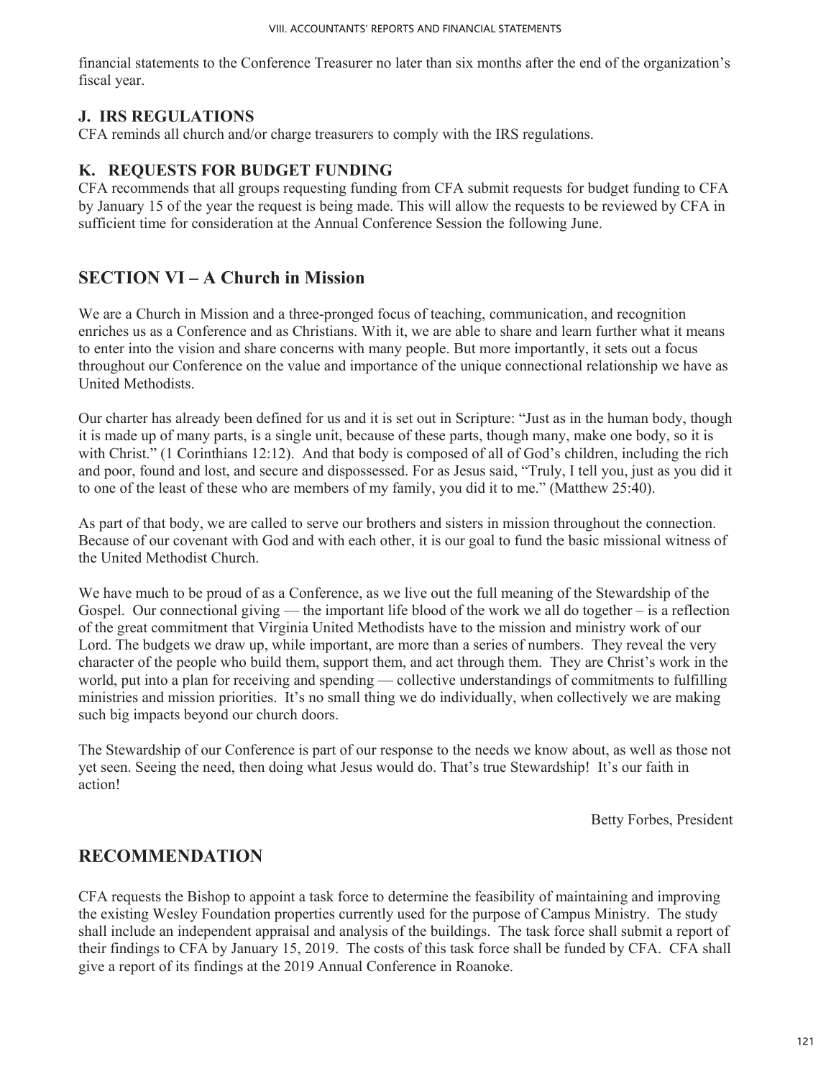financial statements to the Conference Treasurer no later than six months after the end of the organization's fiscal year.

# **J. IRS REGULATIONS**

CFA reminds all church and/or charge treasurers to comply with the IRS regulations.

# **K. REQUESTS FOR BUDGET FUNDING**

CFA recommends that all groups requesting funding from CFA submit requests for budget funding to CFA by January 15 of the year the request is being made. This will allow the requests to be reviewed by CFA in sufficient time for consideration at the Annual Conference Session the following June.

# **SECTION VI – A Church in Mission**

We are a Church in Mission and a three-pronged focus of teaching, communication, and recognition enriches us as a Conference and as Christians. With it, we are able to share and learn further what it means to enter into the vision and share concerns with many people. But more importantly, it sets out a focus throughout our Conference on the value and importance of the unique connectional relationship we have as United Methodists.

Our charter has already been defined for us and it is set out in Scripture: "Just as in the human body, though it is made up of many parts, is a single unit, because of these parts, though many, make one body, so it is with Christ." (1 Corinthians 12:12). And that body is composed of all of God's children, including the rich and poor, found and lost, and secure and dispossessed. For as Jesus said, "Truly, I tell you, just as you did it to one of the least of these who are members of my family, you did it to me." (Matthew 25:40).

As part of that body, we are called to serve our brothers and sisters in mission throughout the connection. Because of our covenant with God and with each other, it is our goal to fund the basic missional witness of the United Methodist Church.

We have much to be proud of as a Conference, as we live out the full meaning of the Stewardship of the Gospel. Our connectional giving — the important life blood of the work we all do together – is a reflection of the great commitment that Virginia United Methodists have to the mission and ministry work of our Lord. The budgets we draw up, while important, are more than a series of numbers. They reveal the very character of the people who build them, support them, and act through them. They are Christ's work in the world, put into a plan for receiving and spending — collective understandings of commitments to fulfilling ministries and mission priorities. It's no small thing we do individually, when collectively we are making such big impacts beyond our church doors.

The Stewardship of our Conference is part of our response to the needs we know about, as well as those not yet seen. Seeing the need, then doing what Jesus would do. That's true Stewardship! It's our faith in action!

Betty Forbes, President

# **RECOMMENDATION**

CFA requests the Bishop to appoint a task force to determine the feasibility of maintaining and improving the existing Wesley Foundation properties currently used for the purpose of Campus Ministry. The study shall include an independent appraisal and analysis of the buildings. The task force shall submit a report of their findings to CFA by January 15, 2019. The costs of this task force shall be funded by CFA. CFA shall give a report of its findings at the 2019 Annual Conference in Roanoke.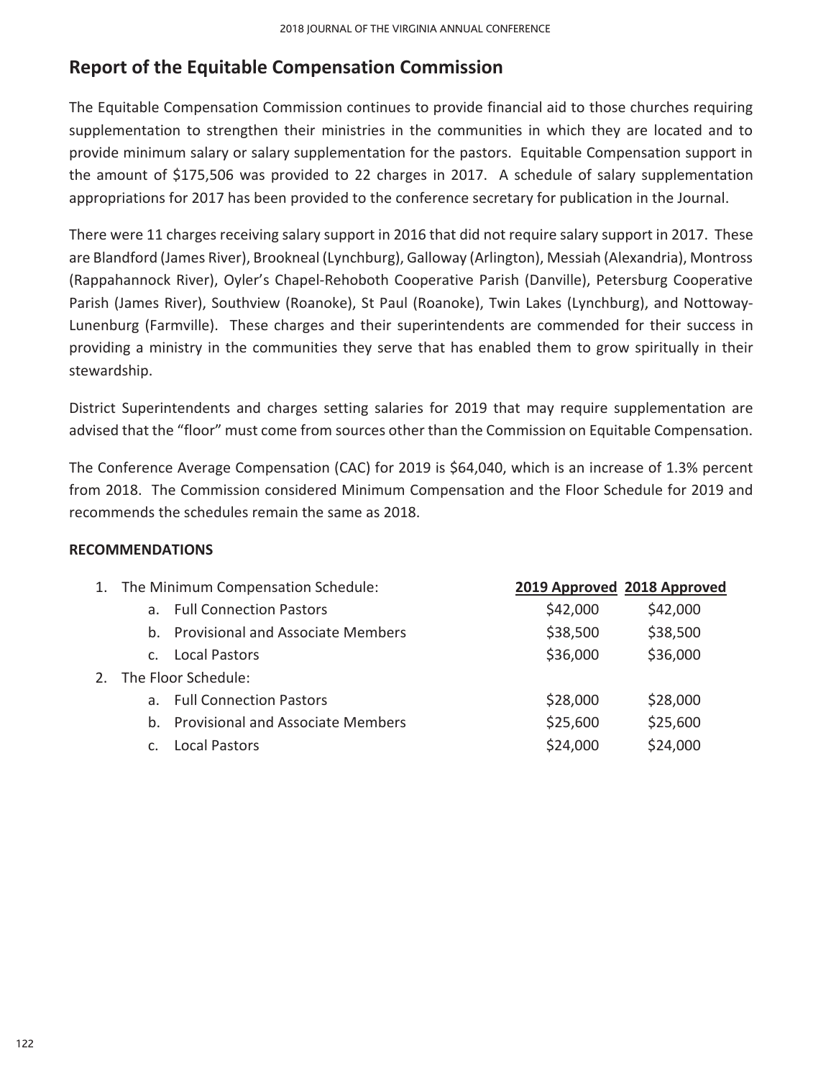# **Report of the Equitable Compensation Commission**

The Equitable Compensation Commission continues to provide financial aid to those churches requiring supplementation to strengthen their ministries in the communities in which they are located and to provide minimum salary or salary supplementation for the pastors. Equitable Compensation support in the amount of \$175,506 was provided to 22 charges in 2017. A schedule of salary supplementation appropriations for 2017 has been provided to the conference secretary for publication in the Journal.

There were 11 charges receiving salary support in 2016 that did not require salary support in 2017. These are Blandford (James River), Brookneal (Lynchburg), Galloway (Arlington), Messiah (Alexandria), Montross (Rappahannock River), Oyler's Chapel-Rehoboth Cooperative Parish (Danville), Petersburg Cooperative Parish (James River), Southview (Roanoke), St Paul (Roanoke), Twin Lakes (Lynchburg), and Nottoway-Lunenburg (Farmville). These charges and their superintendents are commended for their success in providing a ministry in the communities they serve that has enabled them to grow spiritually in their stewardship.

District Superintendents and charges setting salaries for 2019 that may require supplementation are advised that the "floor" must come from sources other than the Commission on Equitable Compensation.

The Conference Average Compensation (CAC) for 2019 is \$64,040, which is an increase of 1.3% percent from 2018. The Commission considered Minimum Compensation and the Floor Schedule for 2019 and recommends the schedules remain the same as 2018.

# **RECOMMENDATIONS**

| 1. |                | The Minimum Compensation Schedule:       | 2019 Approved 2018 Approved |          |
|----|----------------|------------------------------------------|-----------------------------|----------|
|    | a <sub>z</sub> | <b>Full Connection Pastors</b>           | \$42,000                    | \$42,000 |
|    | h.             | <b>Provisional and Associate Members</b> | \$38,500                    | \$38,500 |
|    | $\mathsf{C}$   | <b>Local Pastors</b>                     | \$36,000                    | \$36,000 |
| 2. |                | The Floor Schedule:                      |                             |          |
|    | a <sub>x</sub> | <b>Full Connection Pastors</b>           | \$28,000                    | \$28,000 |
|    | h.             | <b>Provisional and Associate Members</b> | \$25,600                    | \$25,600 |
|    | $\mathsf{C}$   | Local Pastors                            | \$24,000                    | \$24,000 |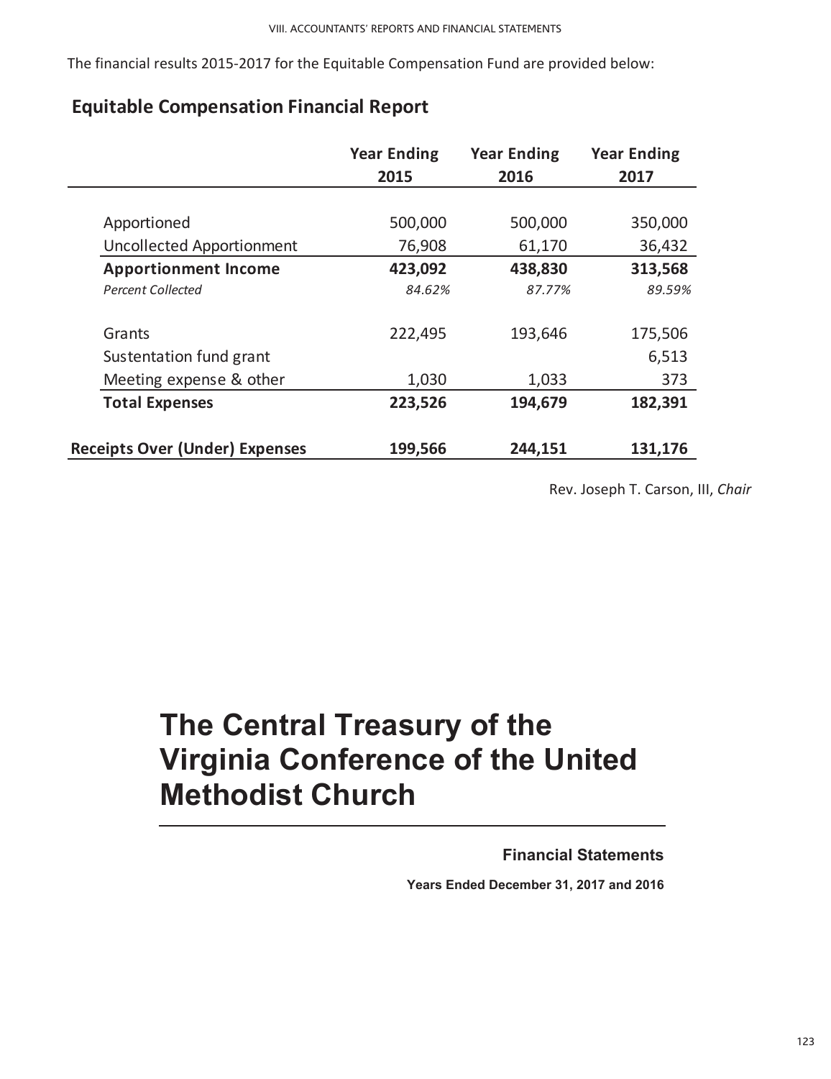The financial results 2015-2017 for the Equitable Compensation Fund are provided below:

# **Equitable Compensation Financial Report**

|                                       | <b>Year Ending</b> | <b>Year Ending</b> | <b>Year Ending</b> |
|---------------------------------------|--------------------|--------------------|--------------------|
|                                       | 2015               | 2016               | 2017               |
|                                       |                    |                    |                    |
| Apportioned                           | 500,000            | 500,000            | 350,000            |
| <b>Uncollected Apportionment</b>      | 76,908             | 61,170             | 36,432             |
| <b>Apportionment Income</b>           | 423,092            | 438,830            | 313,568            |
| <b>Percent Collected</b>              | 84.62%             | 87.77%             | 89.59%             |
| Grants                                | 222,495            | 193,646            | 175,506            |
| Sustentation fund grant               |                    |                    | 6,513              |
| Meeting expense & other               | 1,030              | 1,033              | 373                |
| <b>Total Expenses</b>                 | 223,526            | 194,679            | 182,391            |
| <b>Receipts Over (Under) Expenses</b> | 199,566            | 244,151            | 131,176            |

Rev. Joseph T. Carson, III, *Chair*

# **The Central Treasury of the Virginia Conference of the United Methodist Church**

**Financial Statements Years Ended December 31, 2017 and 2016**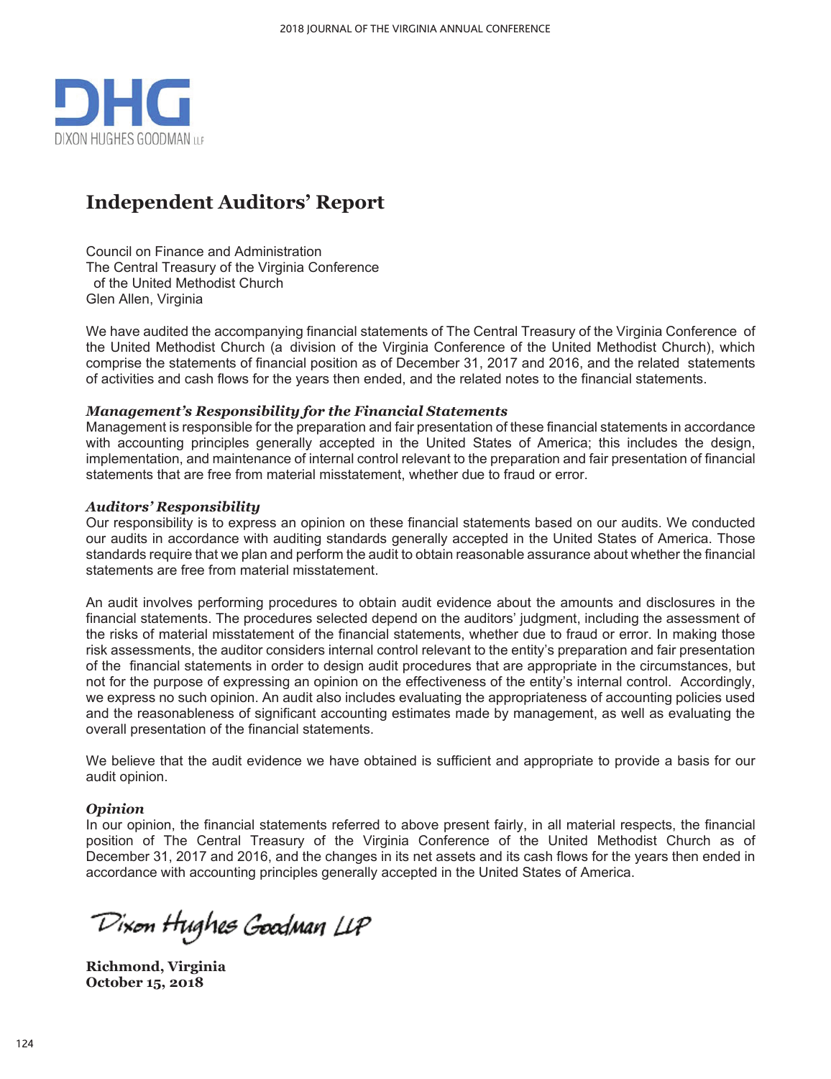

# **Independent Auditors' Report**

Council on Finance and Administration The Central Treasury of the Virginia Conference of the United Methodist Church Glen Allen, Virginia

We have audited the accompanying financial statements of The Central Treasury of the Virginia Conference of the United Methodist Church (a division of the Virginia Conference of the United Methodist Church), which comprise the statements of financial position as of December 31, 2017 and 2016, and the related statements of activities and cash flows for the years then ended, and the related notes to the financial statements.

#### *Management's Responsibility for the Financial Statements*

Management is responsible for the preparation and fair presentation of these financial statements in accordance with accounting principles generally accepted in the United States of America; this includes the design, implementation, and maintenance of internal control relevant to the preparation and fair presentation of financial statements that are free from material misstatement, whether due to fraud or error.

#### *Auditors' Responsibility*

Our responsibility is to express an opinion on these financial statements based on our audits. We conducted our audits in accordance with auditing standards generally accepted in the United States of America. Those standards require that we plan and perform the audit to obtain reasonable assurance about whether the financial statements are free from material misstatement.

An audit involves performing procedures to obtain audit evidence about the amounts and disclosures in the financial statements. The procedures selected depend on the auditors' judgment, including the assessment of the risks of material misstatement of the financial statements, whether due to fraud or error. In making those risk assessments, the auditor considers internal control relevant to the entity's preparation and fair presentation of the financial statements in order to design audit procedures that are appropriate in the circumstances, but not for the purpose of expressing an opinion on the effectiveness of the entity's internal control. Accordingly, we express no such opinion. An audit also includes evaluating the appropriateness of accounting policies used and the reasonableness of significant accounting estimates made by management, as well as evaluating the overall presentation of the financial statements.

We believe that the audit evidence we have obtained is sufficient and appropriate to provide a basis for our audit opinion.

#### *Opinion*

In our opinion, the financial statements referred to above present fairly, in all material respects, the financial position of The Central Treasury of the Virginia Conference of the United Methodist Church as of December 31, 2017 and 2016, and the changes in its net assets and its cash flows for the years then ended in accordance with accounting principles generally accepted in the United States of America.

Dixon Hughes Goodman LLP

**Richmond, Virginia October 15, 2018**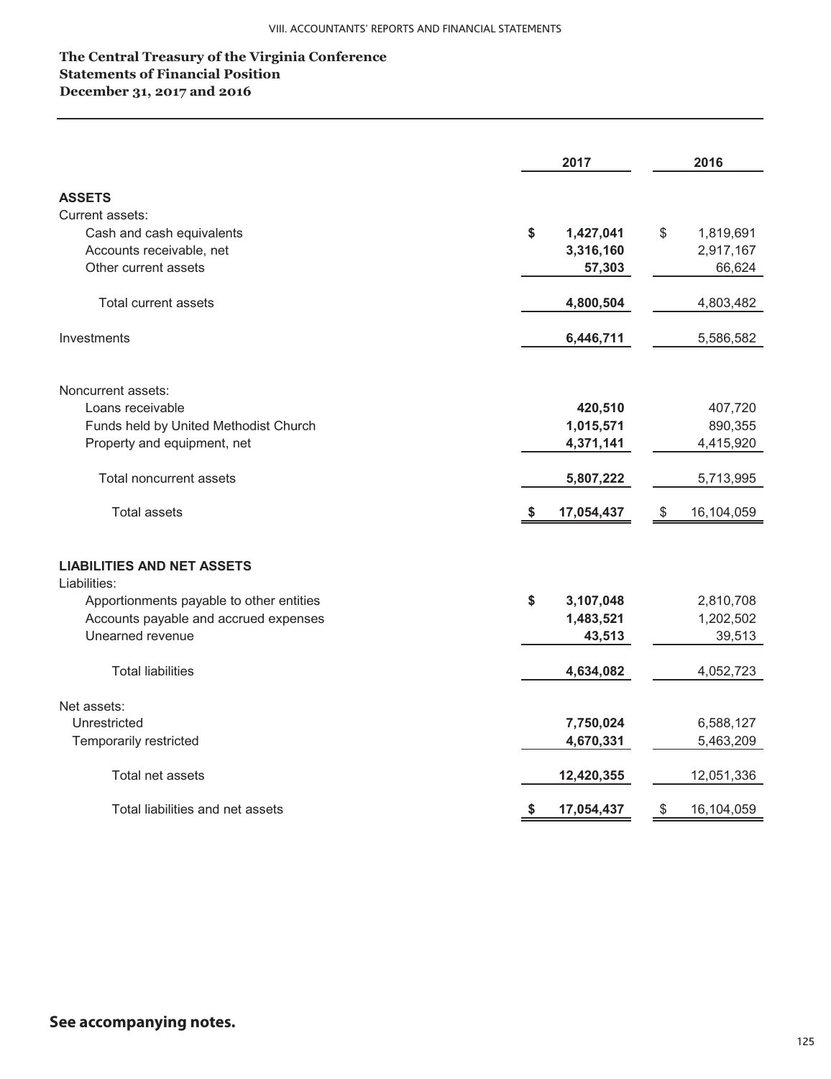# **December 31, 2017 and 2016 The Central Treasury of the Virginia Conference Statements of Financial Position**

|                                          | 2017             | 2016             |
|------------------------------------------|------------------|------------------|
|                                          |                  |                  |
| <b>ASSETS</b><br>Current assets:         |                  |                  |
| Cash and cash equivalents                | \$<br>1,427,041  | 1,819,691<br>\$  |
| Accounts receivable, net                 | 3,316,160        | 2,917,167        |
| Other current assets                     | 57,303           | 66,624           |
|                                          |                  |                  |
| Total current assets                     | 4,800,504        | 4,803,482        |
| Investments                              | 6,446,711        | 5,586,582        |
|                                          |                  |                  |
| Noncurrent assets:                       |                  |                  |
| Loans receivable                         | 420,510          | 407,720          |
| Funds held by United Methodist Church    | 1,015,571        | 890,355          |
| Property and equipment, net              | 4,371,141        | 4,415,920        |
| Total noncurrent assets                  | 5,807,222        | 5,713,995        |
| <b>Total assets</b>                      | 17,054,437<br>-S | \$<br>16,104,059 |
| <b>LIABILITIES AND NET ASSETS</b>        |                  |                  |
| Liabilities:                             |                  |                  |
| Apportionments payable to other entities | \$<br>3,107,048  | 2,810,708        |
| Accounts payable and accrued expenses    | 1,483,521        | 1,202,502        |
| Unearned revenue                         | 43,513           | 39,513           |
| <b>Total liabilities</b>                 | 4,634,082        | 4,052,723        |
|                                          |                  |                  |
| Net assets:                              |                  |                  |
| Unrestricted                             | 7,750,024        | 6,588,127        |
| Temporarily restricted                   | 4,670,331        | 5,463,209        |
| Total net assets                         | 12,420,355       | 12,051,336       |
| Total liabilities and net assets         | 17,054,437<br>\$ | \$<br>16,104,059 |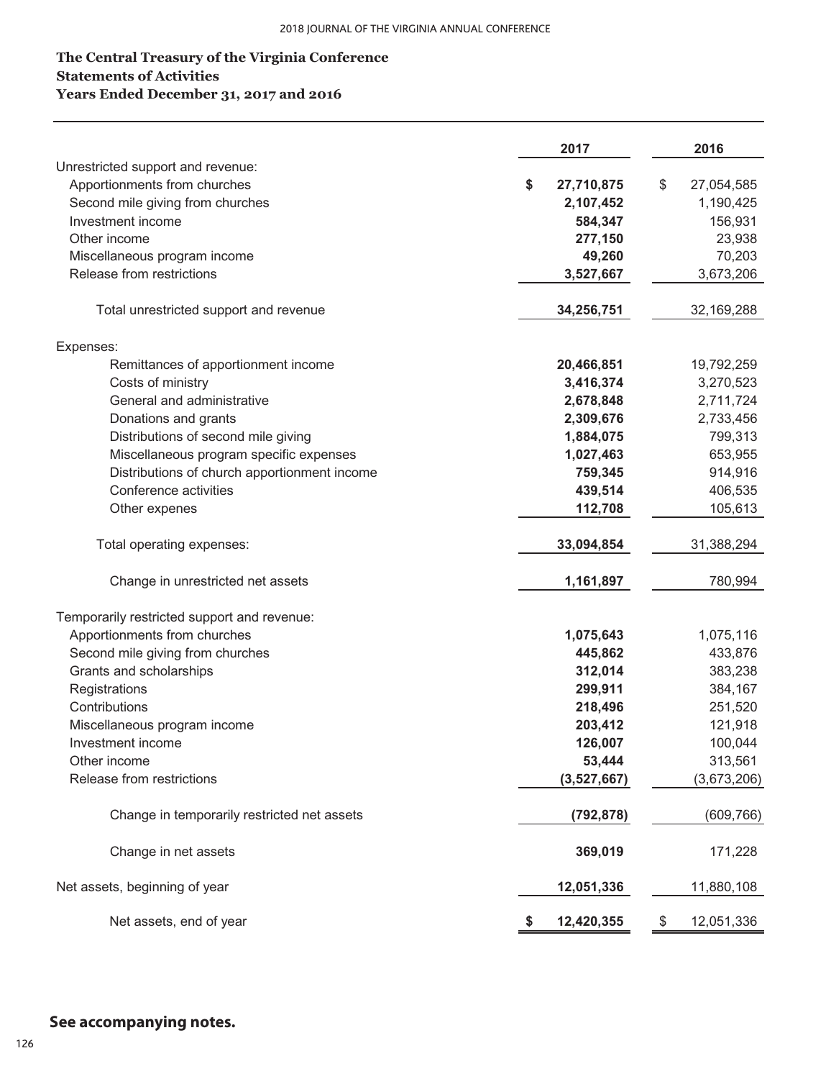# **The Central Treasury of the Virginia Conference Statements of Activities Years Ended December 31, 2017 and 2016**

|                                              | 2017             | 2016             |
|----------------------------------------------|------------------|------------------|
| Unrestricted support and revenue:            |                  |                  |
| Apportionments from churches                 | \$<br>27,710,875 | \$<br>27,054,585 |
| Second mile giving from churches             | 2,107,452        | 1,190,425        |
| Investment income                            | 584,347          | 156,931          |
| Other income                                 | 277,150          | 23,938           |
| Miscellaneous program income                 | 49,260           | 70,203           |
| Release from restrictions                    | 3,527,667        | 3,673,206        |
| Total unrestricted support and revenue       | 34,256,751       | 32,169,288       |
| Expenses:                                    |                  |                  |
| Remittances of apportionment income          | 20,466,851       | 19,792,259       |
| Costs of ministry                            | 3,416,374        | 3,270,523        |
| General and administrative                   | 2,678,848        | 2,711,724        |
| Donations and grants                         | 2,309,676        | 2,733,456        |
| Distributions of second mile giving          | 1,884,075        | 799,313          |
| Miscellaneous program specific expenses      | 1,027,463        | 653,955          |
| Distributions of church apportionment income | 759,345          | 914,916          |
| Conference activities                        | 439,514          | 406,535          |
| Other expenes                                | 112,708          | 105,613          |
| Total operating expenses:                    | 33,094,854       | 31,388,294       |
| Change in unrestricted net assets            | 1,161,897        | 780,994          |
| Temporarily restricted support and revenue:  |                  |                  |
| Apportionments from churches                 | 1,075,643        | 1,075,116        |
| Second mile giving from churches             | 445,862          | 433,876          |
| Grants and scholarships                      | 312,014          | 383,238          |
| Registrations                                | 299,911          | 384,167          |
| Contributions                                | 218,496          | 251,520          |
| Miscellaneous program income                 | 203,412          | 121,918          |
| Investment income                            | 126,007          | 100,044          |
| Other income                                 | 53,444           | 313,561          |
| Release from restrictions                    | (3,527,667)      | (3,673,206)      |
| Change in temporarily restricted net assets  | (792, 878)       | (609, 766)       |
| Change in net assets                         | 369,019          | 171,228          |
| Net assets, beginning of year                | 12,051,336       | 11,880,108       |
| Net assets, end of year                      | 12,420,355<br>\$ | \$<br>12,051,336 |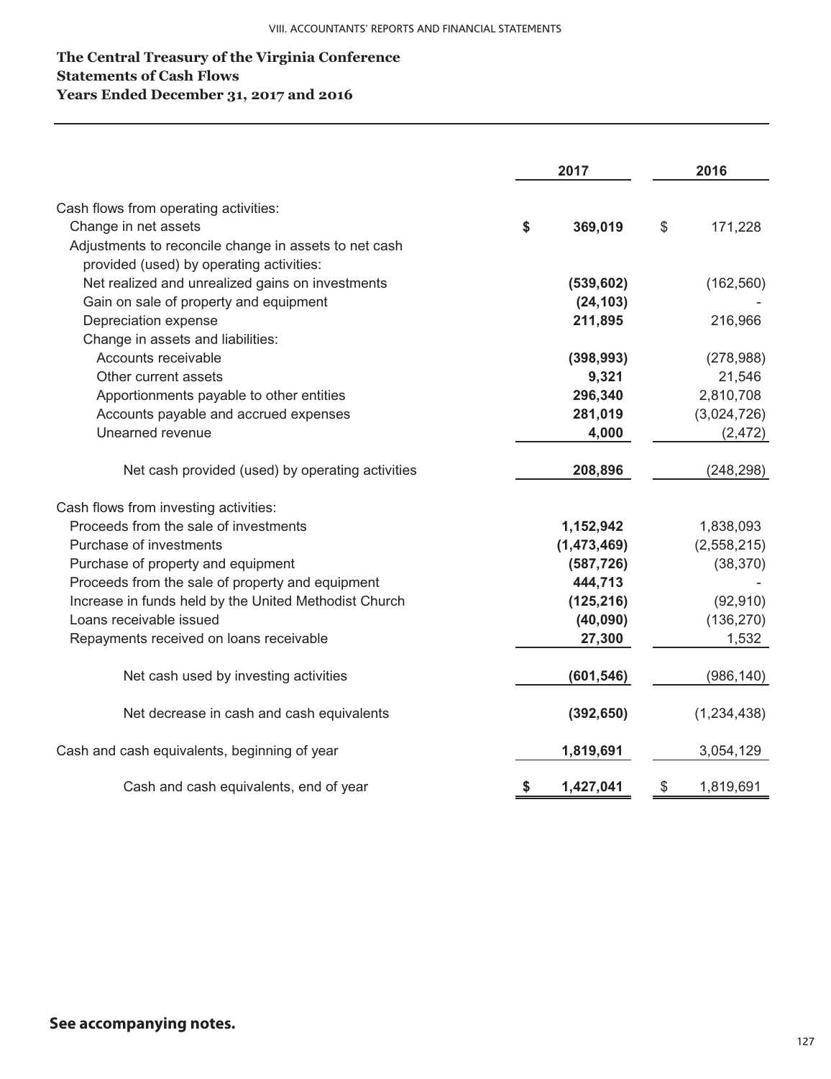# **The Central Treasury of the Virginia Conference Statements of Cash Flows Years Ended December 31, 2017 and 2016**

|                                                       | 2017            | 2016            |
|-------------------------------------------------------|-----------------|-----------------|
| Cash flows from operating activities:                 |                 |                 |
| Change in net assets                                  | \$<br>369,019   | \$<br>171,228   |
| Adjustments to reconcile change in assets to net cash |                 |                 |
| provided (used) by operating activities:              |                 |                 |
| Net realized and unrealized gains on investments      | (539, 602)      | (162, 560)      |
| Gain on sale of property and equipment                | (24, 103)       |                 |
| Depreciation expense                                  | 211,895         | 216,966         |
| Change in assets and liabilities:                     |                 |                 |
| Accounts receivable                                   | (398, 993)      | (278, 988)      |
| Other current assets                                  | 9,321           | 21,546          |
| Apportionments payable to other entities              | 296,340         | 2,810,708       |
| Accounts payable and accrued expenses                 | 281,019         | (3,024,726)     |
| Unearned revenue                                      | 4,000           | (2, 472)        |
| Net cash provided (used) by operating activities      | 208,896         | (248, 298)      |
| Cash flows from investing activities:                 |                 |                 |
| Proceeds from the sale of investments                 | 1,152,942       | 1,838,093       |
| Purchase of investments                               | (1,473,469)     | (2,558,215)     |
| Purchase of property and equipment                    | (587, 726)      | (38, 370)       |
| Proceeds from the sale of property and equipment      | 444,713         |                 |
| Increase in funds held by the United Methodist Church | (125, 216)      | (92, 910)       |
| Loans receivable issued                               | (40,090)        | (136, 270)      |
| Repayments received on loans receivable               | 27,300          | 1,532           |
| Net cash used by investing activities                 | (601, 546)      | (986, 140)      |
| Net decrease in cash and cash equivalents             | (392, 650)      | (1,234,438)     |
| Cash and cash equivalents, beginning of year          | 1,819,691       | 3,054,129       |
| Cash and cash equivalents, end of year                | \$<br>1,427,041 | \$<br>1,819,691 |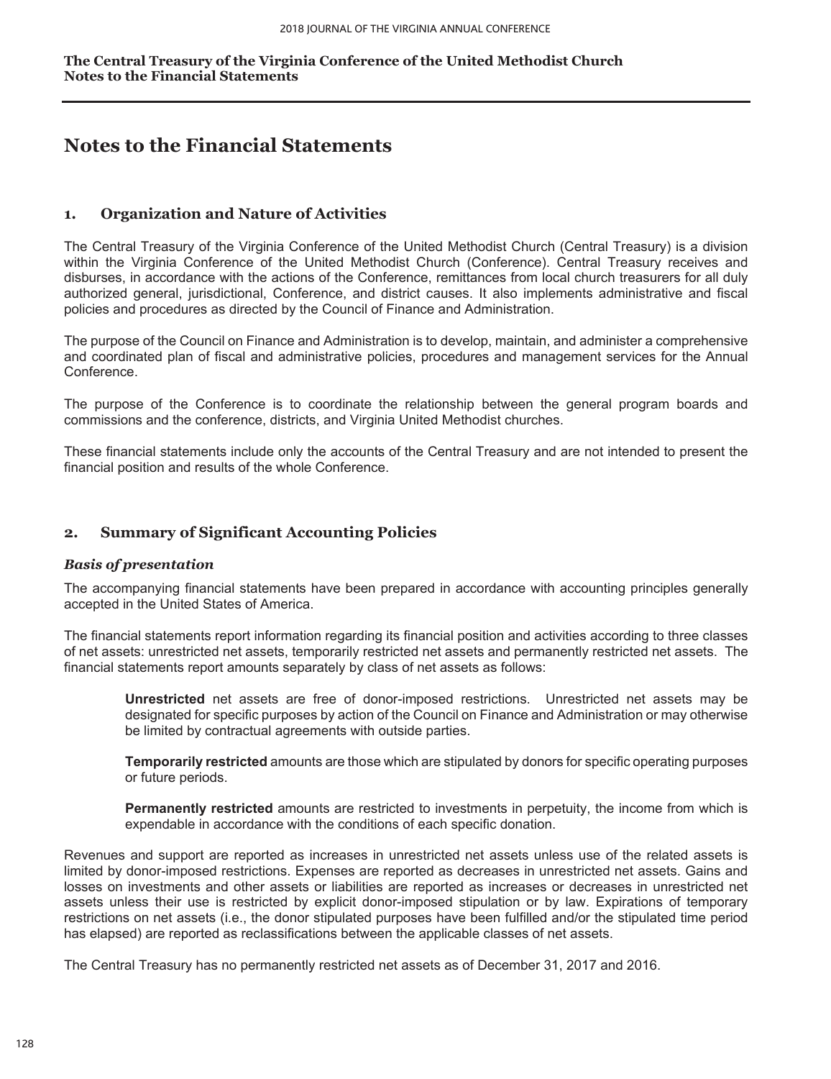# **Notes to the Financial Statements**

## **1. Organization and Nature of Activities**

The Central Treasury of the Virginia Conference of the United Methodist Church (Central Treasury) is a division within the Virginia Conference of the United Methodist Church (Conference). Central Treasury receives and disburses, in accordance with the actions of the Conference, remittances from local church treasurers for all duly authorized general, jurisdictional, Conference, and district causes. It also implements administrative and fiscal policies and procedures as directed by the Council of Finance and Administration.

The purpose of the Council on Finance and Administration is to develop, maintain, and administer a comprehensive and coordinated plan of fiscal and administrative policies, procedures and management services for the Annual Conference.

The purpose of the Conference is to coordinate the relationship between the general program boards and commissions and the conference, districts, and Virginia United Methodist churches.

These financial statements include only the accounts of the Central Treasury and are not intended to present the financial position and results of the whole Conference.

## **2. Summary of Significant Accounting Policies**

#### *Basis of presentation*

The accompanying financial statements have been prepared in accordance with accounting principles generally accepted in the United States of America.

The financial statements report information regarding its financial position and activities according to three classes of net assets: unrestricted net assets, temporarily restricted net assets and permanently restricted net assets. The financial statements report amounts separately by class of net assets as follows:

**Unrestricted** net assets are free of donor-imposed restrictions. Unrestricted net assets may be designated for specific purposes by action of the Council on Finance and Administration or may otherwise be limited by contractual agreements with outside parties.

**Temporarily restricted** amounts are those which are stipulated by donors for specific operating purposes or future periods.

**Permanently restricted** amounts are restricted to investments in perpetuity, the income from which is expendable in accordance with the conditions of each specific donation.

Revenues and support are reported as increases in unrestricted net assets unless use of the related assets is limited by donor-imposed restrictions. Expenses are reported as decreases in unrestricted net assets. Gains and losses on investments and other assets or liabilities are reported as increases or decreases in unrestricted net assets unless their use is restricted by explicit donor-imposed stipulation or by law. Expirations of temporary restrictions on net assets (i.e., the donor stipulated purposes have been fulfilled and/or the stipulated time period has elapsed) are reported as reclassifications between the applicable classes of net assets.

The Central Treasury has no permanently restricted net assets as of December 31, 2017 and 2016.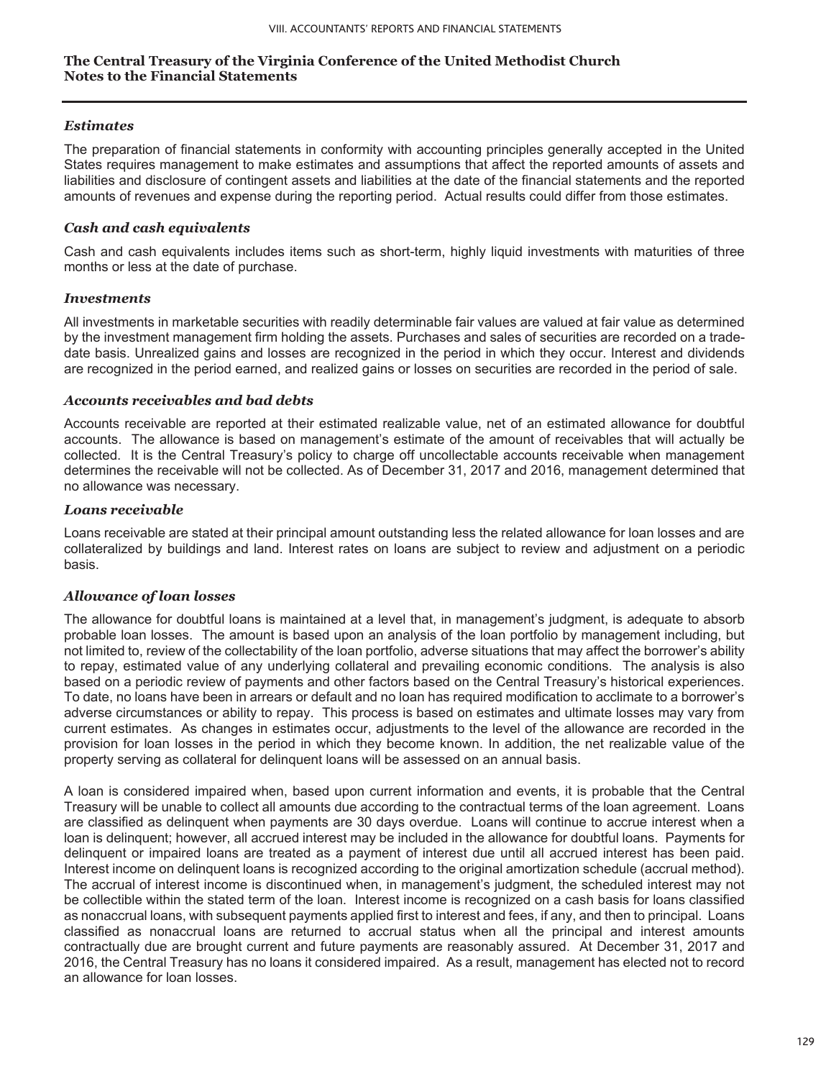#### *Estimates*

The preparation of financial statements in conformity with accounting principles generally accepted in the United States requires management to make estimates and assumptions that affect the reported amounts of assets and liabilities and disclosure of contingent assets and liabilities at the date of the financial statements and the reported amounts of revenues and expense during the reporting period. Actual results could differ from those estimates.

### *Cash and cash equivalents*

Cash and cash equivalents includes items such as short-term, highly liquid investments with maturities of three months or less at the date of purchase.

#### *Investments*

All investments in marketable securities with readily determinable fair values are valued at fair value as determined by the investment management firm holding the assets. Purchases and sales of securities are recorded on a tradedate basis. Unrealized gains and losses are recognized in the period in which they occur. Interest and dividends are recognized in the period earned, and realized gains or losses on securities are recorded in the period of sale.

#### *Accounts receivables and bad debts*

Accounts receivable are reported at their estimated realizable value, net of an estimated allowance for doubtful accounts. The allowance is based on management's estimate of the amount of receivables that will actually be collected. It is the Central Treasury's policy to charge off uncollectable accounts receivable when management determines the receivable will not be collected. As of December 31, 2017 and 2016, management determined that no allowance was necessary.

#### *Loans receivable*

Loans receivable are stated at their principal amount outstanding less the related allowance for loan losses and are collateralized by buildings and land. Interest rates on loans are subject to review and adjustment on a periodic basis.

## *Allowance of loan losses*

The allowance for doubtful loans is maintained at a level that, in management's judgment, is adequate to absorb probable loan losses. The amount is based upon an analysis of the loan portfolio by management including, but not limited to, review of the collectability of the loan portfolio, adverse situations that may affect the borrower's ability to repay, estimated value of any underlying collateral and prevailing economic conditions. The analysis is also based on a periodic review of payments and other factors based on the Central Treasury's historical experiences. To date, no loans have been in arrears or default and no loan has required modification to acclimate to a borrower's adverse circumstances or ability to repay. This process is based on estimates and ultimate losses may vary from current estimates. As changes in estimates occur, adjustments to the level of the allowance are recorded in the provision for loan losses in the period in which they become known. In addition, the net realizable value of the property serving as collateral for delinquent loans will be assessed on an annual basis.

A loan is considered impaired when, based upon current information and events, it is probable that the Central Treasury will be unable to collect all amounts due according to the contractual terms of the loan agreement. Loans are classified as delinquent when payments are 30 days overdue. Loans will continue to accrue interest when a loan is delinquent; however, all accrued interest may be included in the allowance for doubtful loans. Payments for delinquent or impaired loans are treated as a payment of interest due until all accrued interest has been paid. Interest income on delinquent loans is recognized according to the original amortization schedule (accrual method). The accrual of interest income is discontinued when, in management's judgment, the scheduled interest may not be collectible within the stated term of the loan. Interest income is recognized on a cash basis for loans classified as nonaccrual loans, with subsequent payments applied first to interest and fees, if any, and then to principal. Loans classified as nonaccrual loans are returned to accrual status when all the principal and interest amounts contractually due are brought current and future payments are reasonably assured. At December 31, 2017 and 2016, the Central Treasury has no loans it considered impaired. As a result, management has elected not to record an allowance for loan losses.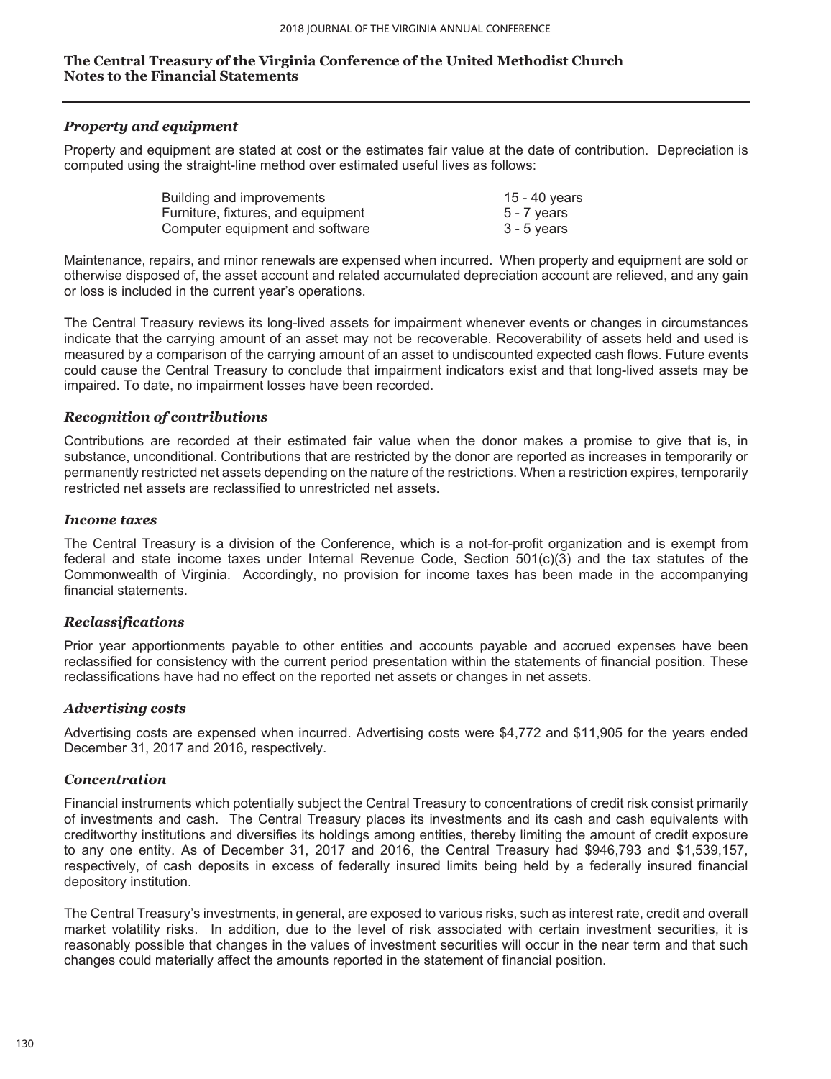#### *Property and equipment*

Property and equipment are stated at cost or the estimates fair value at the date of contribution. Depreciation is computed using the straight-line method over estimated useful lives as follows:

| Building and improvements          | 15 - 40 years |
|------------------------------------|---------------|
| Furniture, fixtures, and equipment | $5 - 7$ years |
| Computer equipment and software    | 3 - 5 years   |

Maintenance, repairs, and minor renewals are expensed when incurred. When property and equipment are sold or otherwise disposed of, the asset account and related accumulated depreciation account are relieved, and any gain or loss is included in the current year's operations.

The Central Treasury reviews its long-lived assets for impairment whenever events or changes in circumstances indicate that the carrying amount of an asset may not be recoverable. Recoverability of assets held and used is measured by a comparison of the carrying amount of an asset to undiscounted expected cash flows. Future events could cause the Central Treasury to conclude that impairment indicators exist and that long-lived assets may be impaired. To date, no impairment losses have been recorded.

#### *Recognition of contributions*

Contributions are recorded at their estimated fair value when the donor makes a promise to give that is, in substance, unconditional. Contributions that are restricted by the donor are reported as increases in temporarily or permanently restricted net assets depending on the nature of the restrictions. When a restriction expires, temporarily restricted net assets are reclassified to unrestricted net assets.

#### *Income taxes*

The Central Treasury is a division of the Conference, which is a not-for-profit organization and is exempt from federal and state income taxes under Internal Revenue Code, Section 501(c)(3) and the tax statutes of the Commonwealth of Virginia. Accordingly, no provision for income taxes has been made in the accompanying financial statements.

#### *Reclassifications*

Prior year apportionments payable to other entities and accounts payable and accrued expenses have been reclassified for consistency with the current period presentation within the statements of financial position. These reclassifications have had no effect on the reported net assets or changes in net assets.

#### *Advertising costs*

Advertising costs are expensed when incurred. Advertising costs were \$4,772 and \$11,905 for the years ended December 31, 2017 and 2016, respectively.

#### *Concentration*

Financial instruments which potentially subject the Central Treasury to concentrations of credit risk consist primarily of investments and cash. The Central Treasury places its investments and its cash and cash equivalents with creditworthy institutions and diversifies its holdings among entities, thereby limiting the amount of credit exposure to any one entity. As of December 31, 2017 and 2016, the Central Treasury had \$946,793 and \$1,539,157, respectively, of cash deposits in excess of federally insured limits being held by a federally insured financial depository institution.

The Central Treasury's investments, in general, are exposed to various risks, such as interest rate, credit and overall market volatility risks. In addition, due to the level of risk associated with certain investment securities, it is reasonably possible that changes in the values of investment securities will occur in the near term and that such changes could materially affect the amounts reported in the statement of financial position.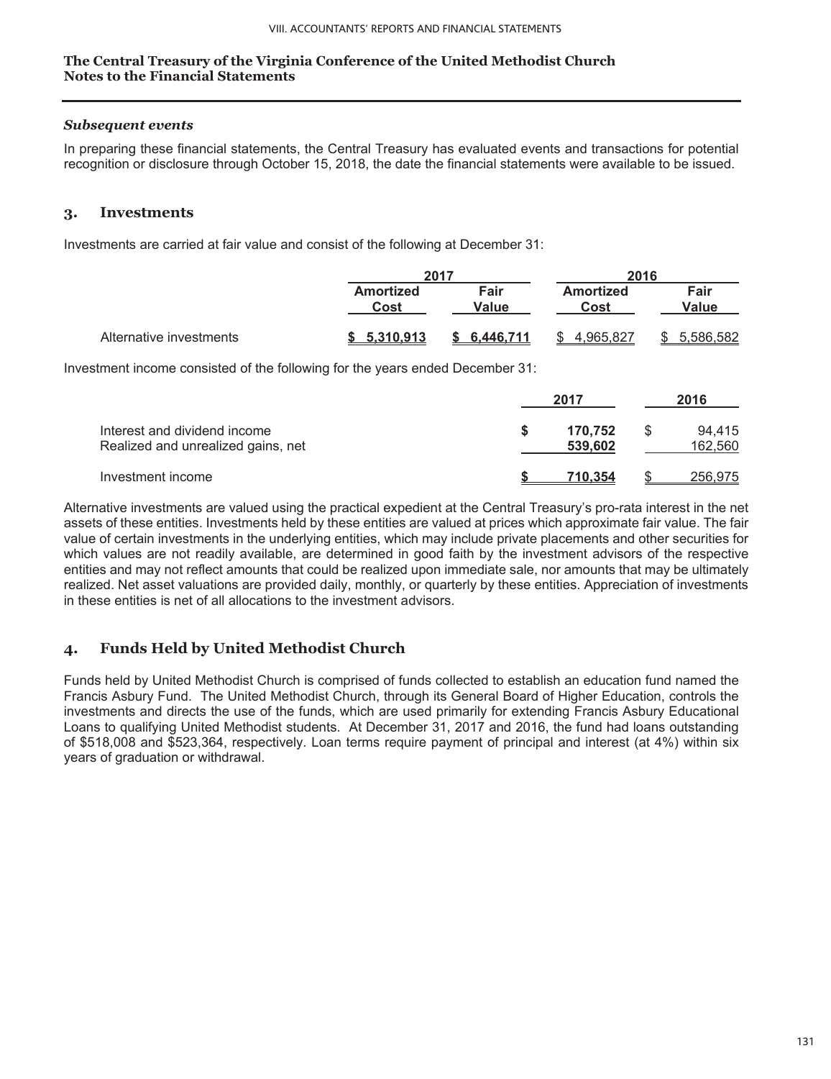#### *Subsequent events*

In preparing these financial statements, the Central Treasury has evaluated events and transactions for potential recognition or disclosure through October 15, 2018, the date the financial statements were available to be issued.

### **3. Investments**

Investments are carried at fair value and consist of the following at December 31:

|                         |                          | 2017          |                   | 2016             |  |
|-------------------------|--------------------------|---------------|-------------------|------------------|--|
|                         | <b>Amortized</b><br>Cost | Fair<br>Value | Amortized<br>Cost | Fair<br>Value    |  |
| Alternative investments | \$5,310.913              | 6.446.711     | 4,965,827         | 5,586,582<br>\$. |  |

Investment income consisted of the following for the years ended December 31:

| Interest and dividend income<br>Realized and unrealized gains, net | 2017               |  | 2016              |  |
|--------------------------------------------------------------------|--------------------|--|-------------------|--|
|                                                                    | 170.752<br>539.602 |  | 94.415<br>162,560 |  |
| Investment income                                                  | 710.354            |  | 256,975           |  |

Alternative investments are valued using the practical expedient at the Central Treasury's pro-rata interest in the net assets of these entities. Investments held by these entities are valued at prices which approximate fair value. The fair value of certain investments in the underlying entities, which may include private placements and other securities for which values are not readily available, are determined in good faith by the investment advisors of the respective entities and may not reflect amounts that could be realized upon immediate sale, nor amounts that may be ultimately realized. Net asset valuations are provided daily, monthly, or quarterly by these entities. Appreciation of investments in these entities is net of all allocations to the investment advisors.

# **4. Funds Held by United Methodist Church**

Funds held by United Methodist Church is comprised of funds collected to establish an education fund named the Francis Asbury Fund. The United Methodist Church, through its General Board of Higher Education, controls the investments and directs the use of the funds, which are used primarily for extending Francis Asbury Educational Loans to qualifying United Methodist students. At December 31, 2017 and 2016, the fund had loans outstanding of \$518,008 and \$523,364, respectively. Loan terms require payment of principal and interest (at 4%) within six years of graduation or withdrawal.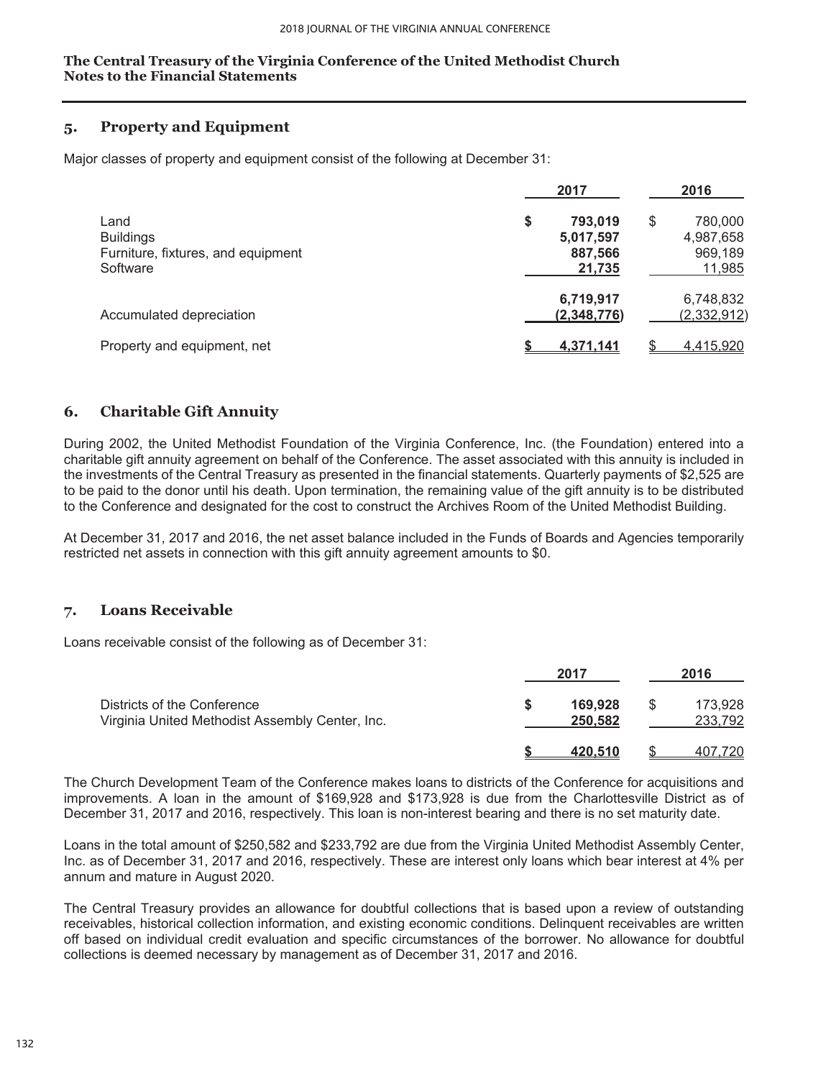# **5. Property and Equipment**

Major classes of property and equipment consist of the following at December 31:

|                                                                            | 2017                                            | 2016 |                                           |
|----------------------------------------------------------------------------|-------------------------------------------------|------|-------------------------------------------|
| Land<br><b>Buildings</b><br>Furniture, fixtures, and equipment<br>Software | \$<br>793,019<br>5,017,597<br>887,566<br>21,735 | \$   | 780,000<br>4,987,658<br>969,189<br>11,985 |
| Accumulated depreciation                                                   | 6,719,917<br>(2,348,776)                        |      | 6,748,832<br>(2,332,912)                  |
| Property and equipment, net                                                | 4.371.141                                       |      | 4,415,920                                 |

# **6. Charitable Gift Annuity**

During 2002, the United Methodist Foundation of the Virginia Conference, Inc. (the Foundation) entered into a charitable gift annuity agreement on behalf of the Conference. The asset associated with this annuity is included in the investments of the Central Treasury as presented in the financial statements. Quarterly payments of \$2,525 are to be paid to the donor until his death. Upon termination, the remaining value of the gift annuity is to be distributed to the Conference and designated for the cost to construct the Archives Room of the United Methodist Building.

At December 31, 2017 and 2016, the net asset balance included in the Funds of Boards and Agencies temporarily restricted net assets in connection with this gift annuity agreement amounts to \$0.

## **7. Loans Receivable**

Loans receivable consist of the following as of December 31:

|                                                                                | 2017               | 2016               |
|--------------------------------------------------------------------------------|--------------------|--------------------|
| Districts of the Conference<br>Virginia United Methodist Assembly Center, Inc. | 169,928<br>250,582 | 173,928<br>233,792 |
|                                                                                | 420.510            | 407.720            |

The Church Development Team of the Conference makes loans to districts of the Conference for acquisitions and improvements. A loan in the amount of \$169,928 and \$173,928 is due from the Charlottesville District as of December 31, 2017 and 2016, respectively. This loan is non-interest bearing and there is no set maturity date.

Loans in the total amount of \$250,582 and \$233,792 are due from the Virginia United Methodist Assembly Center, Inc. as of December 31, 2017 and 2016, respectively. These are interest only loans which bear interest at 4% per annum and mature in August 2020.

The Central Treasury provides an allowance for doubtful collections that is based upon a review of outstanding receivables, historical collection information, and existing economic conditions. Delinquent receivables are written off based on individual credit evaluation and specific circumstances of the borrower. No allowance for doubtful collections is deemed necessary by management as of December 31, 2017 and 2016.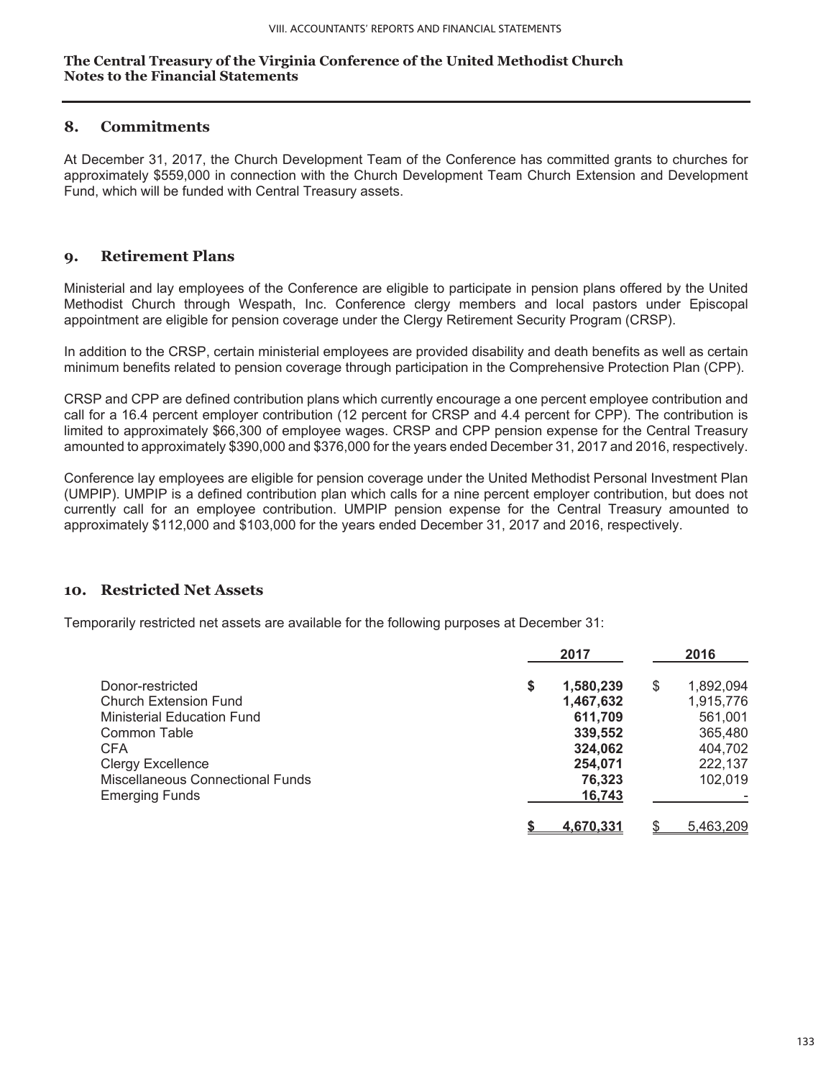## **8. Commitments**

At December 31, 2017, the Church Development Team of the Conference has committed grants to churches for approximately \$559,000 in connection with the Church Development Team Church Extension and Development Fund, which will be funded with Central Treasury assets.

# **9. Retirement Plans**

Ministerial and lay employees of the Conference are eligible to participate in pension plans offered by the United Methodist Church through Wespath, Inc. Conference clergy members and local pastors under Episcopal appointment are eligible for pension coverage under the Clergy Retirement Security Program (CRSP).

In addition to the CRSP, certain ministerial employees are provided disability and death benefits as well as certain minimum benefits related to pension coverage through participation in the Comprehensive Protection Plan (CPP).

CRSP and CPP are defined contribution plans which currently encourage a one percent employee contribution and call for a 16.4 percent employer contribution (12 percent for CRSP and 4.4 percent for CPP). The contribution is limited to approximately \$66,300 of employee wages. CRSP and CPP pension expense for the Central Treasury amounted to approximately \$390,000 and \$376,000 for the years ended December 31, 2017 and 2016, respectively.

Conference lay employees are eligible for pension coverage under the United Methodist Personal Investment Plan (UMPIP). UMPIP is a defined contribution plan which calls for a nine percent employer contribution, but does not currently call for an employee contribution. UMPIP pension expense for the Central Treasury amounted to approximately \$112,000 and \$103,000 for the years ended December 31, 2017 and 2016, respectively.

## **10. Restricted Net Assets**

Temporarily restricted net assets are available for the following purposes at December 31:

|                                   |   | 2017             | 2016            |
|-----------------------------------|---|------------------|-----------------|
| Donor-restricted                  | S | 1,580,239        | \$<br>1,892,094 |
| <b>Church Extension Fund</b>      |   | 1,467,632        | 1,915,776       |
| <b>Ministerial Education Fund</b> |   | 611,709          | 561,001         |
| Common Table                      |   | 339,552          | 365,480         |
| <b>CFA</b>                        |   | 324,062          | 404,702         |
| Clergy Excellence                 |   | 254,071          | 222,137         |
| Miscellaneous Connectional Funds  |   | 76,323           | 102,019         |
| <b>Emerging Funds</b>             |   | 16,743           |                 |
|                                   |   | <u>4.670.331</u> | 5.463.209       |